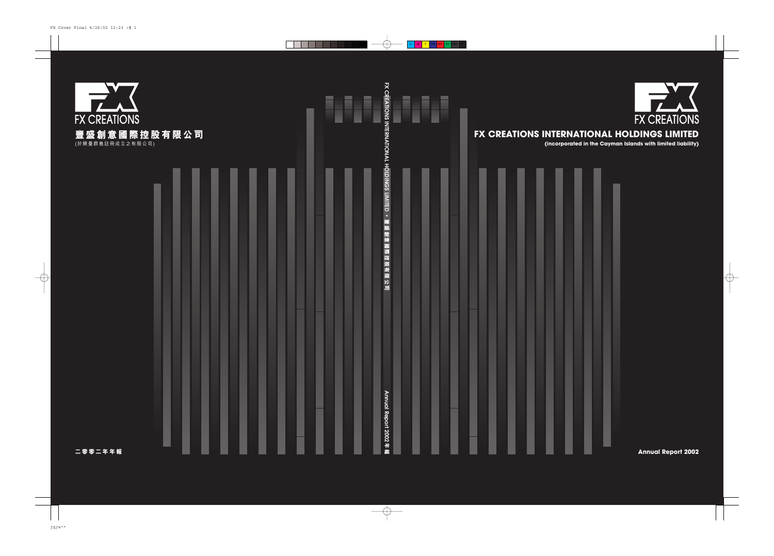

# FX CREATIONS INTERNATIONAL HOLDINGS LIMITED

(incorporated in the Cayman Islands with limited liability)



**Annual Report 2002**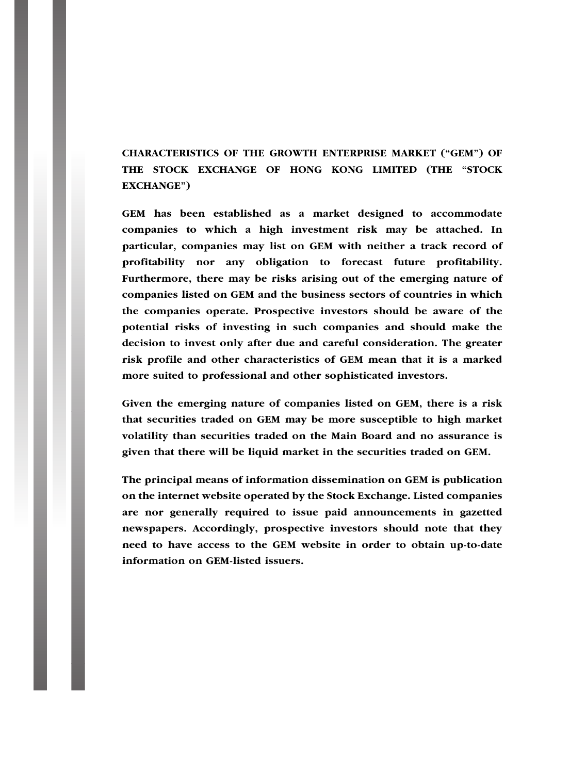CHARACTERISTICS OF THE GROWTH ENTERPRISE MARKET (''GEM'') OF THE STOCK EXCHANGE OF HONG KONG LIMITED (THE ''STOCK EXCHANGE'')

GEM has been established as a market designed to accommodate companies to which a high investment risk may be attached. In particular, companies may list on GEM with neither a track record of profitability nor any obligation to forecast future profitability. Furthermore, there may be risks arising out of the emerging nature of companies listed on GEM and the business sectors of countries in which the companies operate. Prospective investors should be aware of the potential risks of investing in such companies and should make the decision to invest only after due and careful consideration. The greater risk profile and other characteristics of GEM mean that it is a marked more suited to professional and other sophisticated investors.

Given the emerging nature of companies listed on GEM, there is a risk that securities traded on GEM may be more susceptible to high market volatility than securities traded on the Main Board and no assurance is given that there will be liquid market in the securities traded on GEM.

The principal means of information dissemination on GEM is publication on the internet website operated by the Stock Exchange. Listed companies are nor generally required to issue paid announcements in gazetted newspapers. Accordingly, prospective investors should note that they need to have access to the GEM website in order to obtain up-to-date information on GEM-listed issuers.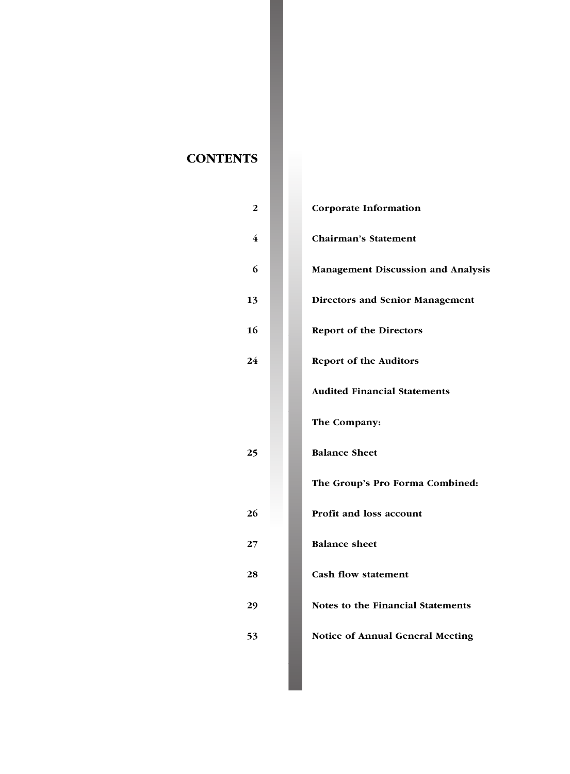# **CONTENTS**

| $\overline{2}$          | Corporate Information                     |
|-------------------------|-------------------------------------------|
| $\overline{\mathbf{4}}$ | <b>Chairman's Statement</b>               |
| 6                       | <b>Management Discussion and Analysis</b> |
| 13                      | <b>Directors and Senior Management</b>    |
| 16                      | <b>Report of the Directors</b>            |
| 24                      | <b>Report of the Auditors</b>             |
|                         | <b>Audited Financial Statements</b>       |
|                         | The Company:                              |
| 25                      | <b>Balance Sheet</b>                      |
|                         | The Group's Pro Forma Combined:           |
| 26                      | <b>Profit and loss account</b>            |
| 27                      | <b>Balance sheet</b>                      |
| 28                      | <b>Cash flow statement</b>                |
| 29                      | Notes to the Financial Statements         |
| 53                      | <b>Notice of Annual General Meeting</b>   |
|                         |                                           |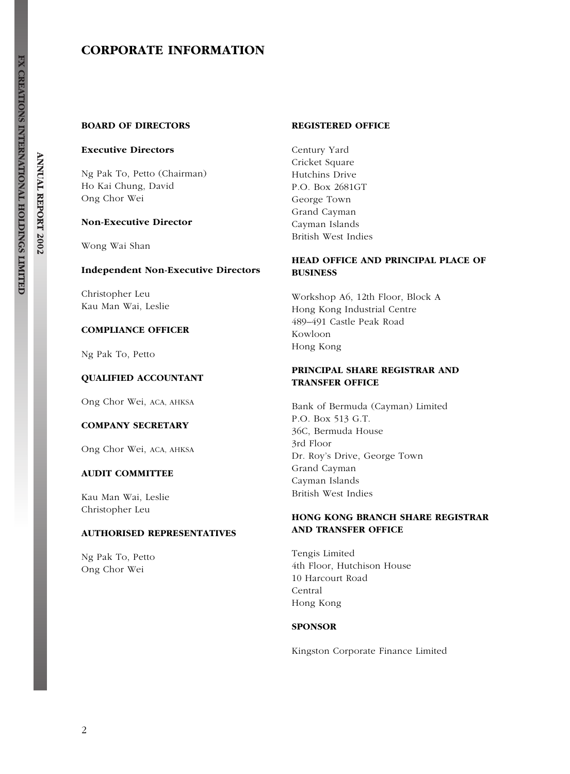# CORPORATE INFORMATION

## BOARD OF DIRECTORS

#### Executive Directors

Ng Pak To, Petto (Chairman) Ho Kai Chung, David Ong Chor Wei

#### Non-Executive Director

Wong Wai Shan

#### Independent Non-Executive Directors

Christopher Leu Kau Man Wai, Leslie

## COMPLIANCE OFFICER

Ng Pak To, Petto

## QUALIFIED ACCOUNTANT

Ong Chor Wei, ACA, AHKSA

#### COMPANY SECRETARY

Ong Chor Wei, ACA, AHKSA

#### AUDIT COMMITTEE

Kau Man Wai, Leslie Christopher Leu

## AUTHORISED REPRESENTATIVES

Ng Pak To, Petto Ong Chor Wei

#### REGISTERED OFFICE

Century Yard Cricket Square Hutchins Drive P.O. Box 2681GT George Town Grand Cayman Cayman Islands British West Indies

## HEAD OFFICE AND PRINCIPAL PLACE OF BUSINESS

Workshop A6, 12th Floor, Block A Hong Kong Industrial Centre 489–491 Castle Peak Road Kowloon Hong Kong

## PRINCIPAL SHARE REGISTRAR AND TRANSFER OFFICE

Bank of Bermuda (Cayman) Limited P.O. Box 513 G.T. 36C, Bermuda House 3rd Floor Dr. Roy's Drive, George Town Grand Cayman Cayman Islands British West Indies

# HONG KONG BRANCH SHARE REGISTRAR AND TRANSFER OFFICE

Tengis Limited 4th Floor, Hutchison House 10 Harcourt Road Central Hong Kong

#### SPONSOR

Kingston Corporate Finance Limited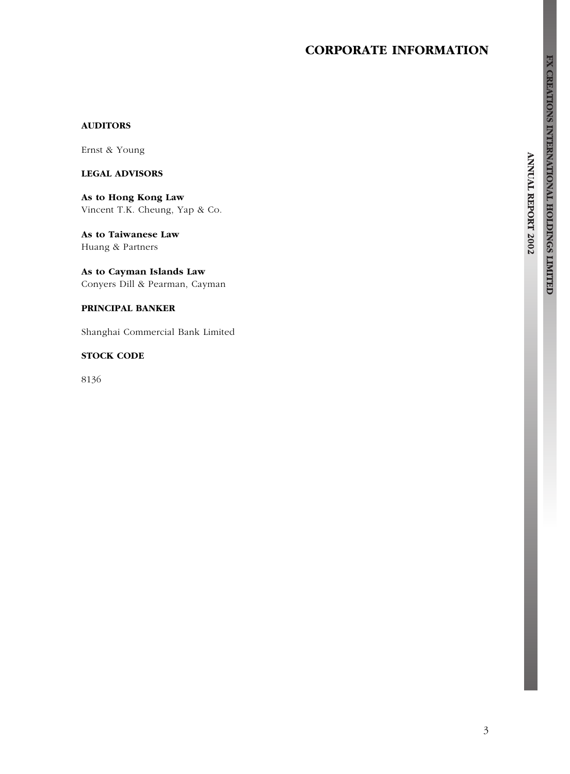# CORPORATE INFORMATION

# FX CREATIONS INTERNATIONAL HOLDINGS LIMITED

**ANNUAL REPORT 2002** 

# AUDITORS

Ernst & Young

## LEGAL ADVISORS

As to Hong Kong Law Vincent T.K. Cheung, Yap & Co.

As to Taiwanese Law Huang & Partners

As to Cayman Islands Law Conyers Dill & Pearman, Cayman

# PRINCIPAL BANKER

Shanghai Commercial Bank Limited

## STOCK CODE

8136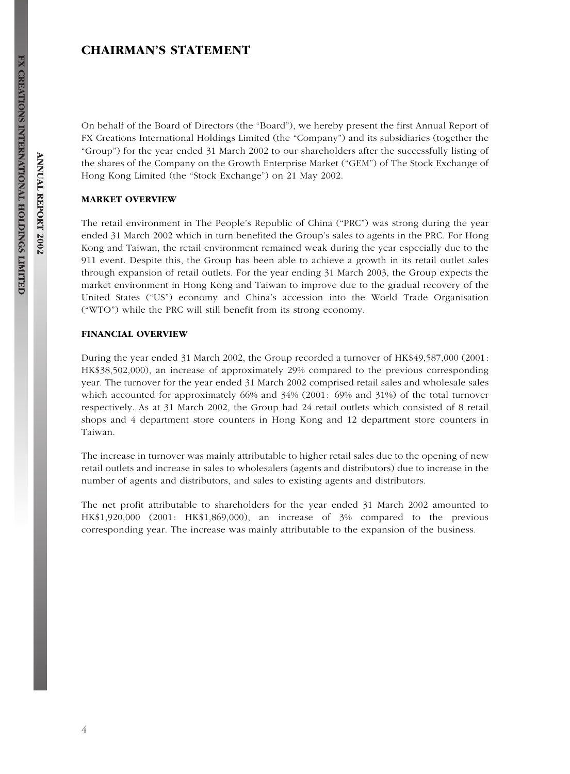# CHAIRMAN'S STATEMENT

On behalf of the Board of Directors (the ''Board''), we hereby present the first Annual Report of FX Creations International Holdings Limited (the ''Company'') and its subsidiaries (together the ''Group'') for the year ended 31 March 2002 to our shareholders after the successfully listing of the shares of the Company on the Growth Enterprise Market (''GEM'') of The Stock Exchange of Hong Kong Limited (the ''Stock Exchange'') on 21 May 2002.

#### MARKET OVERVIEW

The retail environment in The People's Republic of China ("PRC") was strong during the year ended 31 March 2002 which in turn benefited the Group's sales to agents in the PRC. For Hong Kong and Taiwan, the retail environment remained weak during the year especially due to the 911 event. Despite this, the Group has been able to achieve a growth in its retail outlet sales through expansion of retail outlets. For the year ending 31 March 2003, the Group expects the market environment in Hong Kong and Taiwan to improve due to the gradual recovery of the United States (''US'') economy and China's accession into the World Trade Organisation (''WTO'') while the PRC will still benefit from its strong economy.

#### FINANCIAL OVERVIEW

During the year ended 31 March 2002, the Group recorded a turnover of HK\$49,587,000 (2001: HK\$38,502,000), an increase of approximately 29% compared to the previous corresponding year. The turnover for the year ended 31 March 2002 comprised retail sales and wholesale sales which accounted for approximately 66% and 34% (2001: 69% and 31%) of the total turnover respectively. As at 31 March 2002, the Group had 24 retail outlets which consisted of 8 retail shops and 4 department store counters in Hong Kong and 12 department store counters in Taiwan.

The increase in turnover was mainly attributable to higher retail sales due to the opening of new retail outlets and increase in sales to wholesalers (agents and distributors) due to increase in the number of agents and distributors, and sales to existing agents and distributors.

The net profit attributable to shareholders for the year ended 31 March 2002 amounted to HK\$1,920,000 (2001: HK\$1,869,000), an increase of 3% compared to the previous corresponding year. The increase was mainly attributable to the expansion of the business.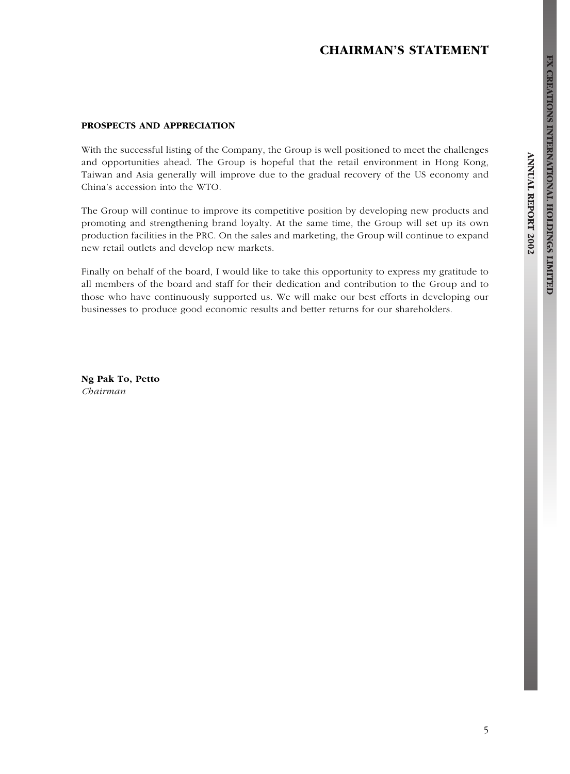# CHAIRMAN'S STATEMENT

#### PROSPECTS AND APPRECIATION

With the successful listing of the Company, the Group is well positioned to meet the challenges and opportunities ahead. The Group is hopeful that the retail environment in Hong Kong, Taiwan and Asia generally will improve due to the gradual recovery of the US economy and China's accession into the WTO.

The Group will continue to improve its competitive position by developing new products and promoting and strengthening brand loyalty. At the same time, the Group will set up its own production facilities in the PRC. On the sales and marketing, the Group will continue to expand new retail outlets and develop new markets.

Finally on behalf of the board, I would like to take this opportunity to express my gratitude to all members of the board and staff for their dedication and contribution to the Group and to those who have continuously supported us. We will make our best efforts in developing our businesses to produce good economic results and better returns for our shareholders.

Ng Pak To, Petto Chairman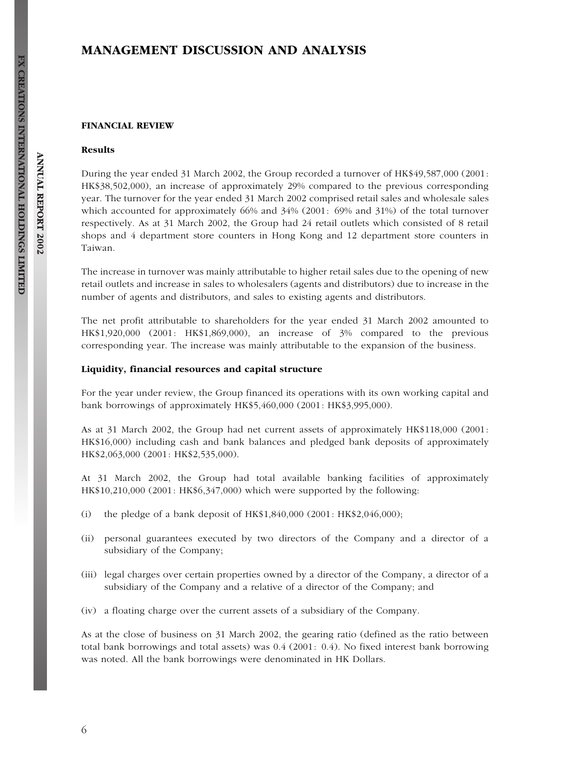#### FINANCIAL REVIEW

#### Results

During the year ended 31 March 2002, the Group recorded a turnover of HK\$49,587,000 (2001: HK\$38,502,000), an increase of approximately 29% compared to the previous corresponding year. The turnover for the year ended 31 March 2002 comprised retail sales and wholesale sales which accounted for approximately 66% and 34% (2001: 69% and 31%) of the total turnover respectively. As at 31 March 2002, the Group had 24 retail outlets which consisted of 8 retail shops and 4 department store counters in Hong Kong and 12 department store counters in Taiwan.

The increase in turnover was mainly attributable to higher retail sales due to the opening of new retail outlets and increase in sales to wholesalers (agents and distributors) due to increase in the number of agents and distributors, and sales to existing agents and distributors.

The net profit attributable to shareholders for the year ended 31 March 2002 amounted to HK\$1,920,000 (2001: HK\$1,869,000), an increase of 3% compared to the previous corresponding year. The increase was mainly attributable to the expansion of the business.

#### Liquidity, financial resources and capital structure

For the year under review, the Group financed its operations with its own working capital and bank borrowings of approximately HK\$5,460,000 (2001: HK\$3,995,000).

As at 31 March 2002, the Group had net current assets of approximately HK\$118,000 (2001: HK\$16,000) including cash and bank balances and pledged bank deposits of approximately HK\$2,063,000 (2001: HK\$2,535,000).

At 31 March 2002, the Group had total available banking facilities of approximately HK\$10,210,000 (2001: HK\$6,347,000) which were supported by the following:

- (i) the pledge of a bank deposit of HK\$1,840,000 (2001: HK\$2,046,000);
- (ii) personal guarantees executed by two directors of the Company and a director of a subsidiary of the Company;
- (iii) legal charges over certain properties owned by a director of the Company, a director of a subsidiary of the Company and a relative of a director of the Company; and
- (iv) a floating charge over the current assets of a subsidiary of the Company.

As at the close of business on 31 March 2002, the gearing ratio (defined as the ratio between total bank borrowings and total assets) was 0.4 (2001: 0.4). No fixed interest bank borrowing was noted. All the bank borrowings were denominated in HK Dollars.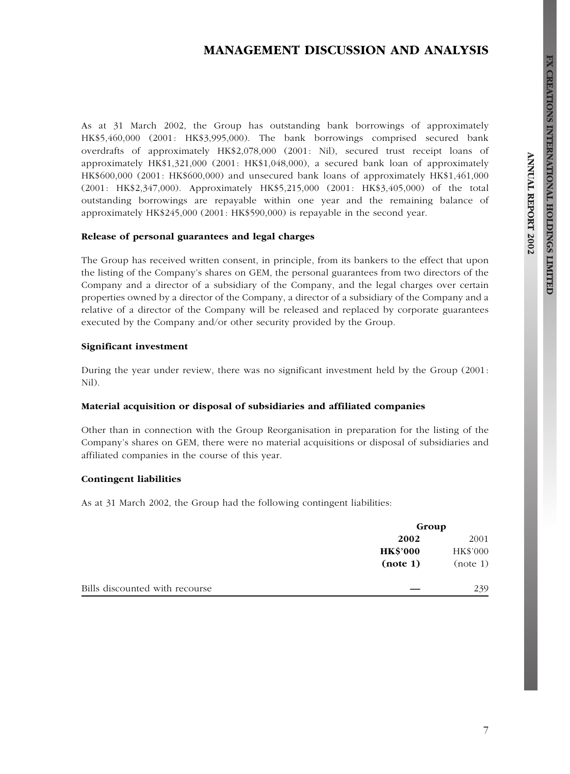# MANAGEMENT DISCUSSION AND ANALYSIS

As at 31 March 2002, the Group has outstanding bank borrowings of approximately HK\$5,460,000 (2001: HK\$3,995,000). The bank borrowings comprised secured bank overdrafts of approximately HK\$2,078,000 (2001: Nil), secured trust receipt loans of approximately HK\$1,321,000 (2001: HK\$1,048,000), a secured bank loan of approximately HK\$600,000 (2001: HK\$600,000) and unsecured bank loans of approximately HK\$1,461,000 (2001: HK\$2,347,000). Approximately HK\$5,215,000 (2001: HK\$3,405,000) of the total outstanding borrowings are repayable within one year and the remaining balance of approximately HK\$245,000 (2001: HK\$590,000) is repayable in the second year.

## Release of personal guarantees and legal charges

The Group has received written consent, in principle, from its bankers to the effect that upon the listing of the Company's shares on GEM, the personal guarantees from two directors of the Company and a director of a subsidiary of the Company, and the legal charges over certain properties owned by a director of the Company, a director of a subsidiary of the Company and a relative of a director of the Company will be released and replaced by corporate guarantees executed by the Company and/or other security provided by the Group.

#### Significant investment

During the year under review, there was no significant investment held by the Group (2001: Nil).

## Material acquisition or disposal of subsidiaries and affiliated companies

Other than in connection with the Group Reorganisation in preparation for the listing of the Company's shares on GEM, there were no material acquisitions or disposal of subsidiaries and affiliated companies in the course of this year.

## Contingent liabilities

As at 31 March 2002, the Group had the following contingent liabilities:

|                                | Group           |          |
|--------------------------------|-----------------|----------|
|                                | 2002            | 2001     |
|                                | <b>HK\$'000</b> | HK\$'000 |
|                                | (note 1)        | (note 1) |
| Bills discounted with recourse |                 | 239      |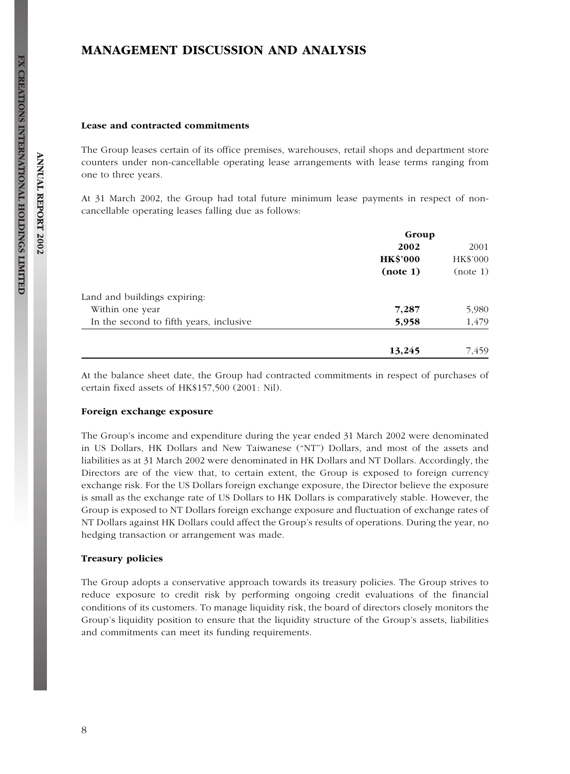#### Lease and contracted commitments

The Group leases certain of its office premises, warehouses, retail shops and department store counters under non-cancellable operating lease arrangements with lease terms ranging from one to three years.

At 31 March 2002, the Group had total future minimum lease payments in respect of noncancellable operating leases falling due as follows:

|                                         | Group           |          |
|-----------------------------------------|-----------------|----------|
|                                         | 2002            | 2001     |
|                                         | <b>HK\$'000</b> | HK\$'000 |
|                                         | (note 1)        | (note 1) |
| Land and buildings expiring:            |                 |          |
| Within one year                         | 7,287           | 5,980    |
| In the second to fifth years, inclusive | 5,958           | 1,479    |
|                                         | 13,245          | 7.459    |

At the balance sheet date, the Group had contracted commitments in respect of purchases of certain fixed assets of HK\$157,500 (2001: Nil).

#### Foreign exchange exposure

The Group's income and expenditure during the year ended 31 March 2002 were denominated in US Dollars, HK Dollars and New Taiwanese (''NT'') Dollars, and most of the assets and liabilities as at 31 March 2002 were denominated in HK Dollars and NT Dollars. Accordingly, the Directors are of the view that, to certain extent, the Group is exposed to foreign currency exchange risk. For the US Dollars foreign exchange exposure, the Director believe the exposure is small as the exchange rate of US Dollars to HK Dollars is comparatively stable. However, the Group is exposed to NT Dollars foreign exchange exposure and fluctuation of exchange rates of NT Dollars against HK Dollars could affect the Group's results of operations. During the year, no hedging transaction or arrangement was made.

#### Treasury policies

The Group adopts a conservative approach towards its treasury policies. The Group strives to reduce exposure to credit risk by performing ongoing credit evaluations of the financial conditions of its customers. To manage liquidity risk, the board of directors closely monitors the Group's liquidity position to ensure that the liquidity structure of the Group's assets, liabilities and commitments can meet its funding requirements.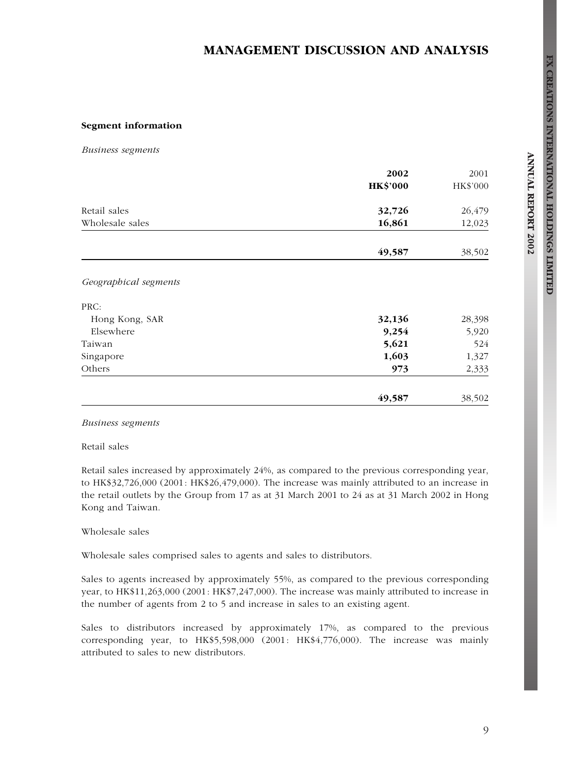## Segment information

Business segments

|                       | 2002            | 2001     |  |
|-----------------------|-----------------|----------|--|
|                       | <b>HK\$'000</b> | HK\$'000 |  |
| Retail sales          | 32,726          | 26,479   |  |
| Wholesale sales       | 16,861          | 12,023   |  |
|                       | 49,587          | 38,502   |  |
| Geographical segments |                 |          |  |
| PRC:                  |                 |          |  |
| Hong Kong, SAR        | 32,136          | 28,398   |  |
| Elsewhere             | 9,254           | 5,920    |  |
| Taiwan                | 5,621           | 524      |  |
| Singapore             | 1,603           | 1,327    |  |
| Others                | 973             | 2,333    |  |
|                       | 49,587          | 38,502   |  |

## Business segments

Retail sales

Retail sales increased by approximately 24%, as compared to the previous corresponding year, to HK\$32,726,000 (2001: HK\$26,479,000). The increase was mainly attributed to an increase in the retail outlets by the Group from 17 as at 31 March 2001 to 24 as at 31 March 2002 in Hong Kong and Taiwan.

## Wholesale sales

Wholesale sales comprised sales to agents and sales to distributors.

Sales to agents increased by approximately 55%, as compared to the previous corresponding year, to HK\$11,263,000 (2001: HK\$7,247,000). The increase was mainly attributed to increase in the number of agents from 2 to 5 and increase in sales to an existing agent.

Sales to distributors increased by approximately 17%, as compared to the previous corresponding year, to HK\$5,598,000 (2001: HK\$4,776,000). The increase was mainly attributed to sales to new distributors.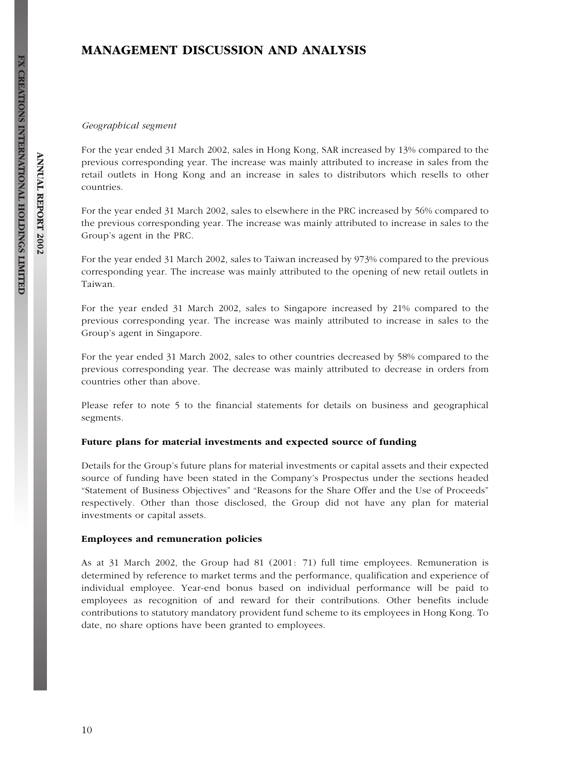#### Geographical segment

For the year ended 31 March 2002, sales in Hong Kong, SAR increased by 13% compared to the previous corresponding year. The increase was mainly attributed to increase in sales from the retail outlets in Hong Kong and an increase in sales to distributors which resells to other countries.

For the year ended 31 March 2002, sales to elsewhere in the PRC increased by 56% compared to the previous corresponding year. The increase was mainly attributed to increase in sales to the Group's agent in the PRC.

For the year ended 31 March 2002, sales to Taiwan increased by 973% compared to the previous corresponding year. The increase was mainly attributed to the opening of new retail outlets in Taiwan.

For the year ended 31 March 2002, sales to Singapore increased by 21% compared to the previous corresponding year. The increase was mainly attributed to increase in sales to the Group's agent in Singapore.

For the year ended 31 March 2002, sales to other countries decreased by 58% compared to the previous corresponding year. The decrease was mainly attributed to decrease in orders from countries other than above.

Please refer to note 5 to the financial statements for details on business and geographical segments.

## Future plans for material investments and expected source of funding

Details for the Group's future plans for material investments or capital assets and their expected source of funding have been stated in the Company's Prospectus under the sections headed ''Statement of Business Objectives'' and ''Reasons for the Share Offer and the Use of Proceeds'' respectively. Other than those disclosed, the Group did not have any plan for material investments or capital assets.

#### Employees and remuneration policies

As at 31 March 2002, the Group had 81 (2001: 71) full time employees. Remuneration is determined by reference to market terms and the performance, qualification and experience of individual employee. Year-end bonus based on individual performance will be paid to employees as recognition of and reward for their contributions. Other benefits include contributions to statutory mandatory provident fund scheme to its employees in Hong Kong. To date, no share options have been granted to employees.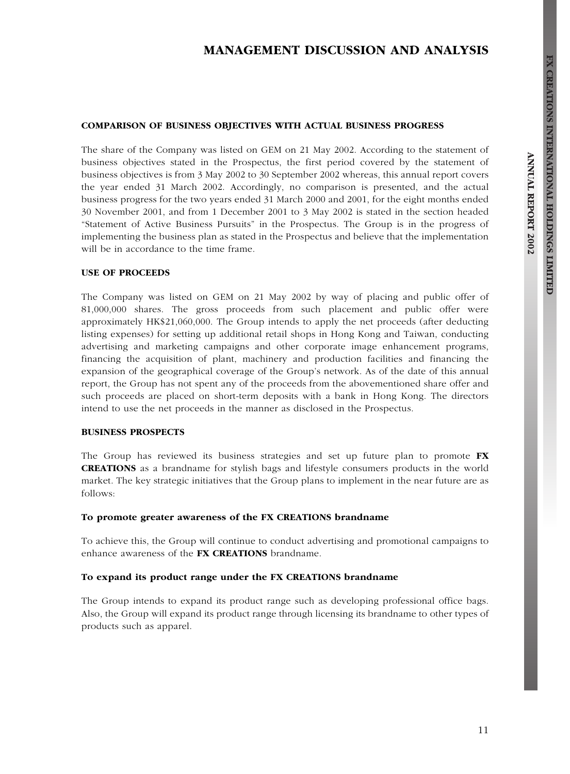# MANAGEMENT DISCUSSION AND ANALYSIS

#### COMPARISON OF BUSINESS OBJECTIVES WITH ACTUAL BUSINESS PROGRESS

The share of the Company was listed on GEM on 21 May 2002. According to the statement of business objectives stated in the Prospectus, the first period covered by the statement of business objectives is from 3 May 2002 to 30 September 2002 whereas, this annual report covers the year ended 31 March 2002. Accordingly, no comparison is presented, and the actual business progress for the two years ended 31 March 2000 and 2001, for the eight months ended 30 November 2001, and from 1 December 2001 to 3 May 2002 is stated in the section headed ''Statement of Active Business Pursuits'' in the Prospectus. The Group is in the progress of implementing the business plan as stated in the Prospectus and believe that the implementation will be in accordance to the time frame.

## USE OF PROCEEDS

The Company was listed on GEM on 21 May 2002 by way of placing and public offer of 81,000,000 shares. The gross proceeds from such placement and public offer were approximately HK\$21,060,000. The Group intends to apply the net proceeds (after deducting listing expenses) for setting up additional retail shops in Hong Kong and Taiwan, conducting advertising and marketing campaigns and other corporate image enhancement programs, financing the acquisition of plant, machinery and production facilities and financing the expansion of the geographical coverage of the Group's network. As of the date of this annual report, the Group has not spent any of the proceeds from the abovementioned share offer and such proceeds are placed on short-term deposits with a bank in Hong Kong. The directors intend to use the net proceeds in the manner as disclosed in the Prospectus.

#### BUSINESS PROSPECTS

The Group has reviewed its business strategies and set up future plan to promote FX CREATIONS as a brandname for stylish bags and lifestyle consumers products in the world market. The key strategic initiatives that the Group plans to implement in the near future are as follows:

#### To promote greater awareness of the FX CREATIONS brandname

To achieve this, the Group will continue to conduct advertising and promotional campaigns to enhance awareness of the FX CREATIONS brandname.

#### To expand its product range under the FX CREATIONS brandname

The Group intends to expand its product range such as developing professional office bags. Also, the Group will expand its product range through licensing its brandname to other types of products such as apparel.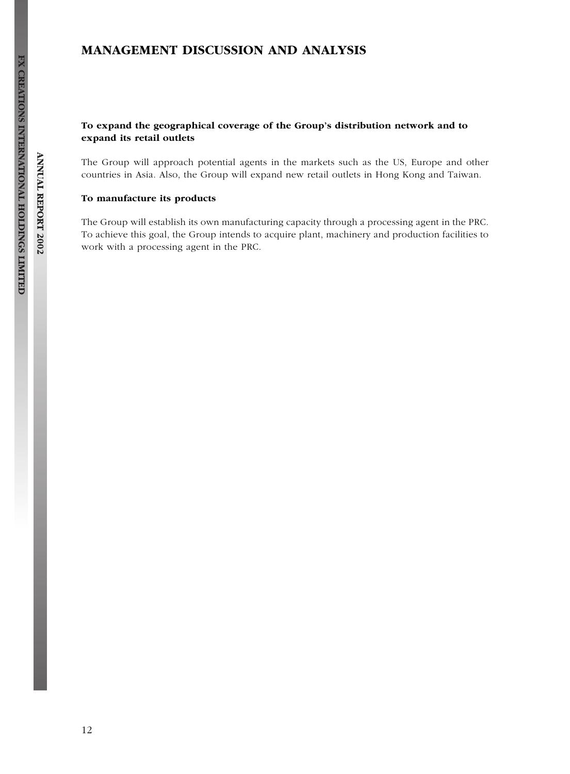## To expand the geographical coverage of the Group's distribution network and to expand its retail outlets

The Group will approach potential agents in the markets such as the US, Europe and other countries in Asia. Also, the Group will expand new retail outlets in Hong Kong and Taiwan.

## To manufacture its products

The Group will establish its own manufacturing capacity through a processing agent in the PRC. To achieve this goal, the Group intends to acquire plant, machinery and production facilities to work with a processing agent in the PRC.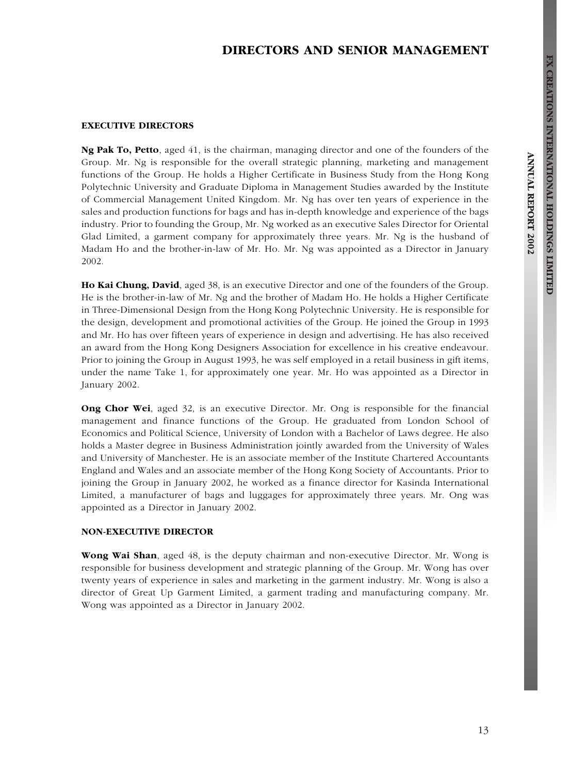# DIRECTORS AND SENIOR MANAGEMENT

#### EXECUTIVE DIRECTORS

Ng Pak To, Petto, aged 41, is the chairman, managing director and one of the founders of the Group. Mr. Ng is responsible for the overall strategic planning, marketing and management functions of the Group. He holds a Higher Certificate in Business Study from the Hong Kong Polytechnic University and Graduate Diploma in Management Studies awarded by the Institute of Commercial Management United Kingdom. Mr. Ng has over ten years of experience in the sales and production functions for bags and has in-depth knowledge and experience of the bags industry. Prior to founding the Group, Mr. Ng worked as an executive Sales Director for Oriental Glad Limited, a garment company for approximately three years. Mr. Ng is the husband of Madam Ho and the brother-in-law of Mr. Ho. Mr. Ng was appointed as a Director in January 2002.

Ho Kai Chung, David, aged 38, is an executive Director and one of the founders of the Group. He is the brother-in-law of Mr. Ng and the brother of Madam Ho. He holds a Higher Certificate in Three-Dimensional Design from the Hong Kong Polytechnic University. He is responsible for the design, development and promotional activities of the Group. He joined the Group in 1993 and Mr. Ho has over fifteen years of experience in design and advertising. He has also received an award from the Hong Kong Designers Association for excellence in his creative endeavour. Prior to joining the Group in August 1993, he was self employed in a retail business in gift items, under the name Take 1, for approximately one year. Mr. Ho was appointed as a Director in January 2002.

Ong Chor Wei, aged 32, is an executive Director. Mr. Ong is responsible for the financial management and finance functions of the Group. He graduated from London School of Economics and Political Science, University of London with a Bachelor of Laws degree. He also holds a Master degree in Business Administration jointly awarded from the University of Wales and University of Manchester. He is an associate member of the Institute Chartered Accountants England and Wales and an associate member of the Hong Kong Society of Accountants. Prior to joining the Group in January 2002, he worked as a finance director for Kasinda International Limited, a manufacturer of bags and luggages for approximately three years. Mr. Ong was appointed as a Director in January 2002.

## NON-EXECUTIVE DIRECTOR

Wong Wai Shan, aged 48, is the deputy chairman and non-executive Director. Mr. Wong is responsible for business development and strategic planning of the Group. Mr. Wong has over twenty years of experience in sales and marketing in the garment industry. Mr. Wong is also a director of Great Up Garment Limited, a garment trading and manufacturing company. Mr. Wong was appointed as a Director in January 2002.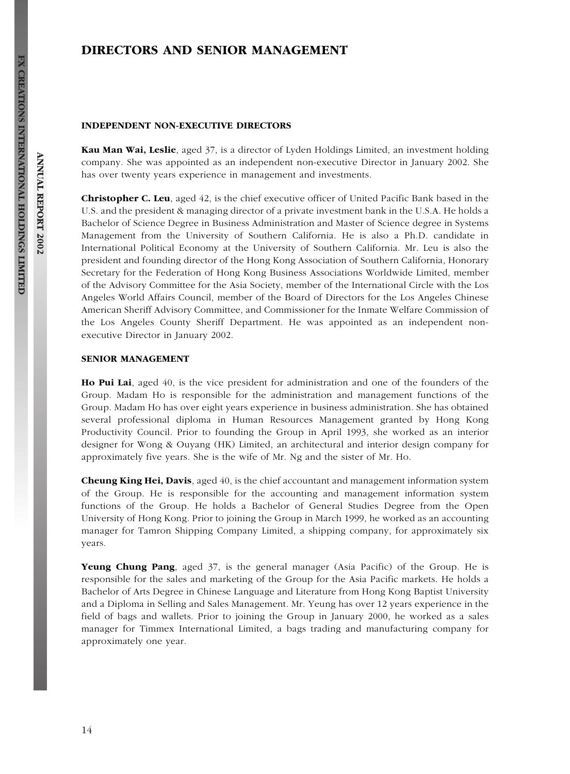# DIRECTORS AND SENIOR MANAGEMENT

#### INDEPENDENT NON-EXECUTIVE DIRECTORS

Kau Man Wai, Leslie, aged 37, is a director of Lyden Holdings Limited, an investment holding company. She was appointed as an independent non-executive Director in January 2002. She has over twenty years experience in management and investments.

Christopher C. Leu, aged 42, is the chief executive officer of United Pacific Bank based in the U.S. and the president & managing director of a private investment bank in the U.S.A. He holds a Bachelor of Science Degree in Business Administration and Master of Science degree in Systems Management from the University of Southern California. He is also a Ph.D. candidate in International Political Economy at the University of Southern California. Mr. Leu is also the president and founding director of the Hong Kong Association of Southern California, Honorary Secretary for the Federation of Hong Kong Business Associations Worldwide Limited, member of the Advisory Committee for the Asia Society, member of the International Circle with the Los Angeles World Affairs Council, member of the Board of Directors for the Los Angeles Chinese American Sheriff Advisory Committee, and Commissioner for the Inmate Welfare Commission of the Los Angeles County Sheriff Department. He was appointed as an independent nonexecutive Director in January 2002.

#### SENIOR MANAGEMENT

Ho Pui Lai, aged 40, is the vice president for administration and one of the founders of the Group. Madam Ho is responsible for the administration and management functions of the Group. Madam Ho has over eight years experience in business administration. She has obtained several professional diploma in Human Resources Management granted by Hong Kong Productivity Council. Prior to founding the Group in April 1993, she worked as an interior designer for Wong & Ouyang (HK) Limited, an architectural and interior design company for approximately five years. She is the wife of Mr. Ng and the sister of Mr. Ho.

Cheung King Hei, Davis, aged 40, is the chief accountant and management information system of the Group. He is responsible for the accounting and management information system functions of the Group. He holds a Bachelor of General Studies Degree from the Open University of Hong Kong. Prior to joining the Group in March 1999, he worked as an accounting manager for Tamron Shipping Company Limited, a shipping company, for approximately six years.

Yeung Chung Pang, aged 37, is the general manager (Asia Pacific) of the Group. He is responsible for the sales and marketing of the Group for the Asia Pacific markets. He holds a Bachelor of Arts Degree in Chinese Language and Literature from Hong Kong Baptist University and a Diploma in Selling and Sales Management. Mr. Yeung has over 12 years experience in the field of bags and wallets. Prior to joining the Group in January 2000, he worked as a sales manager for Timmex International Limited, a bags trading and manufacturing company for approximately one year.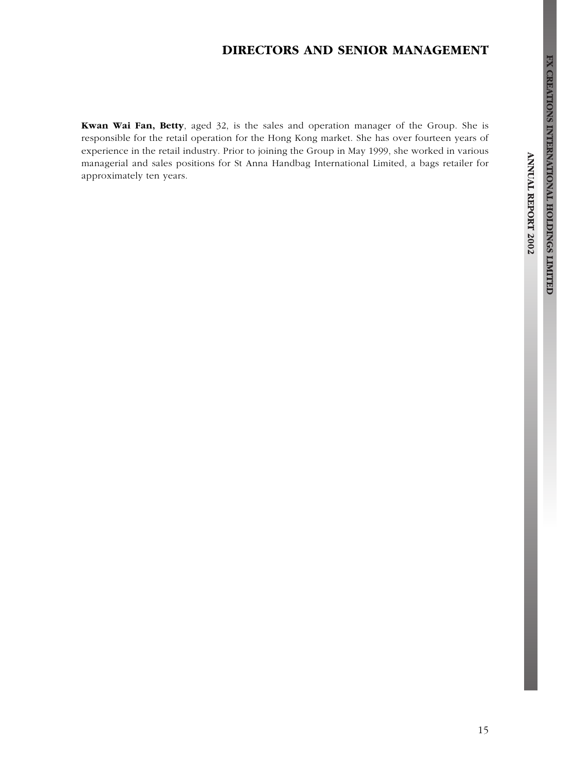# DIRECTORS AND SENIOR MANAGEMENT

Kwan Wai Fan, Betty, aged 32, is the sales and operation manager of the Group. She is responsible for the retail operation for the Hong Kong market. She has over fourteen years of experience in the retail industry. Prior to joining the Group in May 1999, she worked in various managerial and sales positions for St Anna Handbag International Limited, a bags retailer for approximately ten years.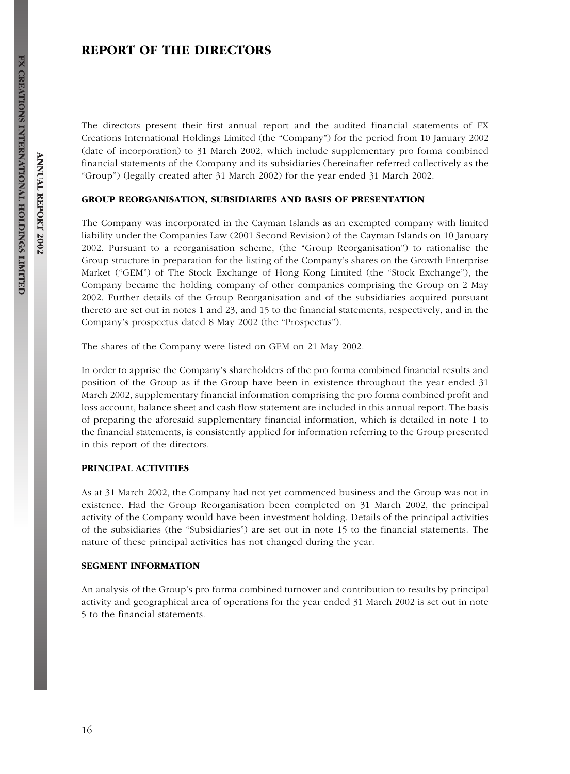# REPORT OF THE DIRECTORS

The directors present their first annual report and the audited financial statements of FX Creations International Holdings Limited (the ''Company'') for the period from 10 January 2002 (date of incorporation) to 31 March 2002, which include supplementary pro forma combined financial statements of the Company and its subsidiaries (hereinafter referred collectively as the ''Group'') (legally created after 31 March 2002) for the year ended 31 March 2002.

#### GROUP REORGANISATION, SUBSIDIARIES AND BASIS OF PRESENTATION

The Company was incorporated in the Cayman Islands as an exempted company with limited liability under the Companies Law (2001 Second Revision) of the Cayman Islands on 10 January 2002. Pursuant to a reorganisation scheme, (the ''Group Reorganisation'') to rationalise the Group structure in preparation for the listing of the Company's shares on the Growth Enterprise Market ("GEM") of The Stock Exchange of Hong Kong Limited (the "Stock Exchange"), the Company became the holding company of other companies comprising the Group on 2 May 2002. Further details of the Group Reorganisation and of the subsidiaries acquired pursuant thereto are set out in notes 1 and 23, and 15 to the financial statements, respectively, and in the Company's prospectus dated 8 May 2002 (the ''Prospectus'').

The shares of the Company were listed on GEM on 21 May 2002.

In order to apprise the Company's shareholders of the pro forma combined financial results and position of the Group as if the Group have been in existence throughout the year ended 31 March 2002, supplementary financial information comprising the pro forma combined profit and loss account, balance sheet and cash flow statement are included in this annual report. The basis of preparing the aforesaid supplementary financial information, which is detailed in note 1 to the financial statements, is consistently applied for information referring to the Group presented in this report of the directors.

## PRINCIPAL ACTIVITIES

As at 31 March 2002, the Company had not yet commenced business and the Group was not in existence. Had the Group Reorganisation been completed on 31 March 2002, the principal activity of the Company would have been investment holding. Details of the principal activities of the subsidiaries (the ''Subsidiaries'') are set out in note 15 to the financial statements. The nature of these principal activities has not changed during the year.

#### SEGMENT INFORMATION

An analysis of the Group's pro forma combined turnover and contribution to results by principal activity and geographical area of operations for the year ended 31 March 2002 is set out in note 5 to the financial statements.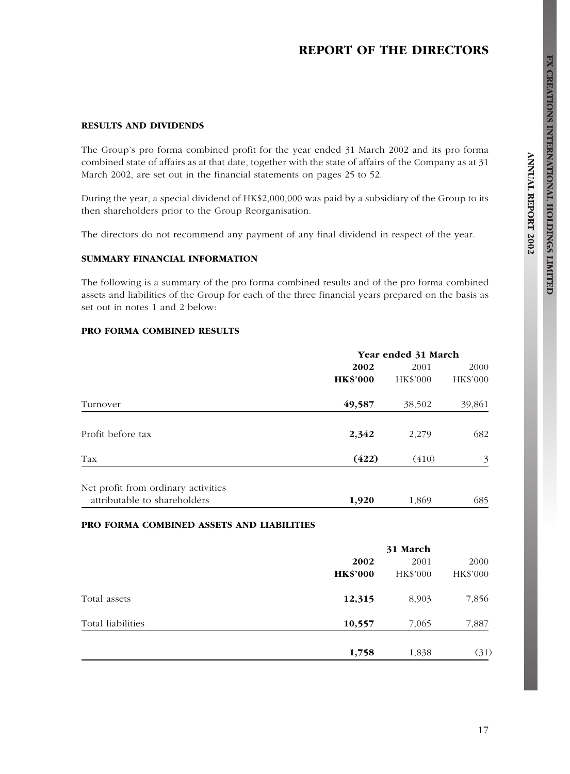# REPORT OF THE DIRECTORS

## RESULTS AND DIVIDENDS

The Group's pro forma combined profit for the year ended 31 March 2002 and its pro forma combined state of affairs as at that date, together with the state of affairs of the Company as at 31 March 2002, are set out in the financial statements on pages 25 to 52.

During the year, a special dividend of HK\$2,000,000 was paid by a subsidiary of the Group to its then shareholders prior to the Group Reorganisation.

The directors do not recommend any payment of any final dividend in respect of the year.

#### SUMMARY FINANCIAL INFORMATION

The following is a summary of the pro forma combined results and of the pro forma combined assets and liabilities of the Group for each of the three financial years prepared on the basis as set out in notes 1 and 2 below:

### PRO FORMA COMBINED RESULTS

|                                                                     | Year ended 31 March |          |          |  |
|---------------------------------------------------------------------|---------------------|----------|----------|--|
|                                                                     | 2002                | 2001     | 2000     |  |
|                                                                     | <b>HK\$'000</b>     | HK\$'000 | HK\$'000 |  |
| Turnover                                                            | 49,587              | 38,502   | 39,861   |  |
| Profit before tax                                                   | 2,342               | 2,279    | 682      |  |
| Tax                                                                 | (422)               | (410)    | 3        |  |
| Net profit from ordinary activities<br>attributable to shareholders | 1,920               | 1,869    | 685      |  |

# PRO FORMA COMBINED ASSETS AND LIABILITIES

|                             | 31 March |          |
|-----------------------------|----------|----------|
| 2002                        | 2001     | 2000     |
| <b>HK\$'000</b>             | HK\$'000 | HK\$'000 |
| Total assets<br>12,315      | 8,903    | 7,856    |
| Total liabilities<br>10,557 | 7,065    | 7,887    |
| 1,758                       | 1,838    | (31)     |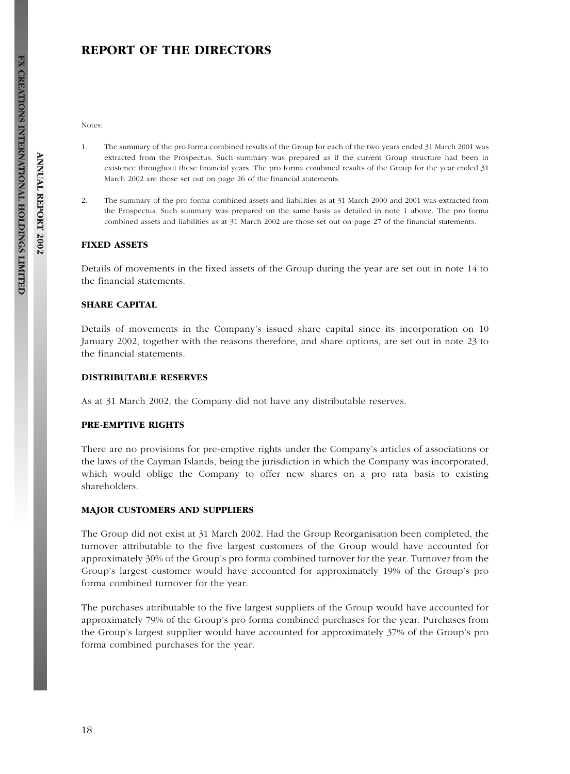# REPORT OF THE DIRECTORS

Notes:

- 1. The summary of the pro forma combined results of the Group for each of the two years ended 31 March 2001 was extracted from the Prospectus. Such summary was prepared as if the current Group structure had been in existence throughout these financial years. The pro forma combined results of the Group for the year ended 31 March 2002 are those set out on page 26 of the financial statements.
- 2. The summary of the pro forma combined assets and liabilities as at 31 March 2000 and 2001 was extracted from the Prospectus. Such summary was prepared on the same basis as detailed in note 1 above. The pro forma combined assets and liabilities as at 31 March 2002 are those set out on page 27 of the financial statements.

#### FIXED ASSETS

Details of movements in the fixed assets of the Group during the year are set out in note 14 to the financial statements.

#### SHARE CAPITAL

Details of movements in the Company's issued share capital since its incorporation on 10 January 2002, together with the reasons therefore, and share options, are set out in note 23 to the financial statements.

#### DISTRIBUTABLE RESERVES

As at 31 March 2002, the Company did not have any distributable reserves.

## PRE-EMPTIVE RIGHTS

There are no provisions for pre-emptive rights under the Company's articles of associations or the laws of the Cayman Islands, being the jurisdiction in which the Company was incorporated, which would oblige the Company to offer new shares on a pro rata basis to existing shareholders.

#### MAJOR CUSTOMERS AND SUPPLIERS

The Group did not exist at 31 March 2002. Had the Group Reorganisation been completed, the turnover attributable to the five largest customers of the Group would have accounted for approximately 30% of the Group's pro forma combined turnover for the year. Turnover from the Group's largest customer would have accounted for approximately 19% of the Group's pro forma combined turnover for the year.

The purchases attributable to the five largest suppliers of the Group would have accounted for approximately 79% of the Group's pro forma combined purchases for the year. Purchases from the Group's largest supplier would have accounted for approximately 37% of the Group's pro forma combined purchases for the year.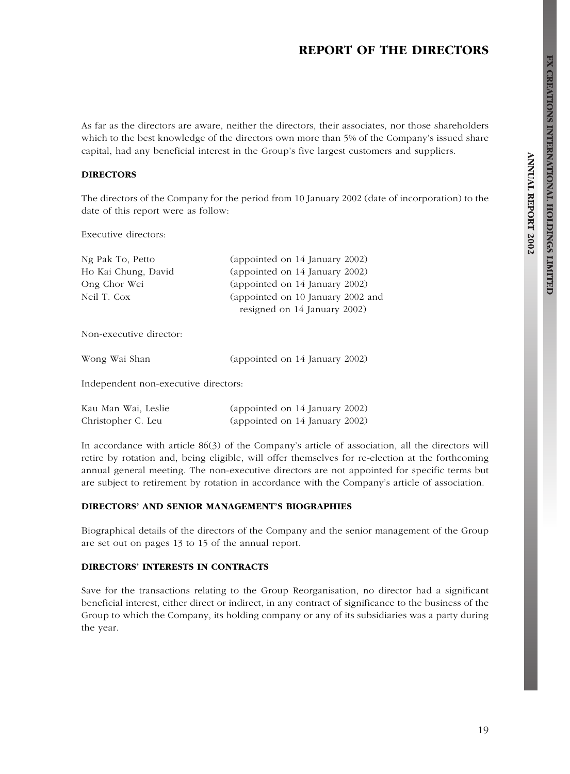# REPORT OF THE DIRECTORS

As far as the directors are aware, neither the directors, their associates, nor those shareholders which to the best knowledge of the directors own more than 5% of the Company's issued share capital, had any beneficial interest in the Group's five largest customers and suppliers.

#### **DIRECTORS**

The directors of the Company for the period from 10 January 2002 (date of incorporation) to the date of this report were as follow:

Executive directors:

| Ng Pak To, Petto    | (appointed on 14 January 2002)    |
|---------------------|-----------------------------------|
| Ho Kai Chung, David | (appointed on 14 January 2002)    |
| Ong Chor Wei        | (appointed on 14 January 2002)    |
| Neil T. Cox         | (appointed on 10 January 2002 and |
|                     | resigned on 14 January 2002)      |

Non-executive director:

Wong Wai Shan (appointed on 14 January 2002)

Independent non-executive directors:

| Kau Man Wai, Leslie | (appointed on 14 January 2002) |  |
|---------------------|--------------------------------|--|
| Christopher C. Leu  | (appointed on 14 January 2002) |  |

In accordance with article 86(3) of the Company's article of association, all the directors will retire by rotation and, being eligible, will offer themselves for re-election at the forthcoming annual general meeting. The non-executive directors are not appointed for specific terms but are subject to retirement by rotation in accordance with the Company's article of association.

#### DIRECTORS' AND SENIOR MANAGEMENT'S BIOGRAPHIES

Biographical details of the directors of the Company and the senior management of the Group are set out on pages 13 to 15 of the annual report.

# DIRECTORS' INTERESTS IN CONTRACTS

Save for the transactions relating to the Group Reorganisation, no director had a significant beneficial interest, either direct or indirect, in any contract of significance to the business of the Group to which the Company, its holding company or any of its subsidiaries was a party during the year.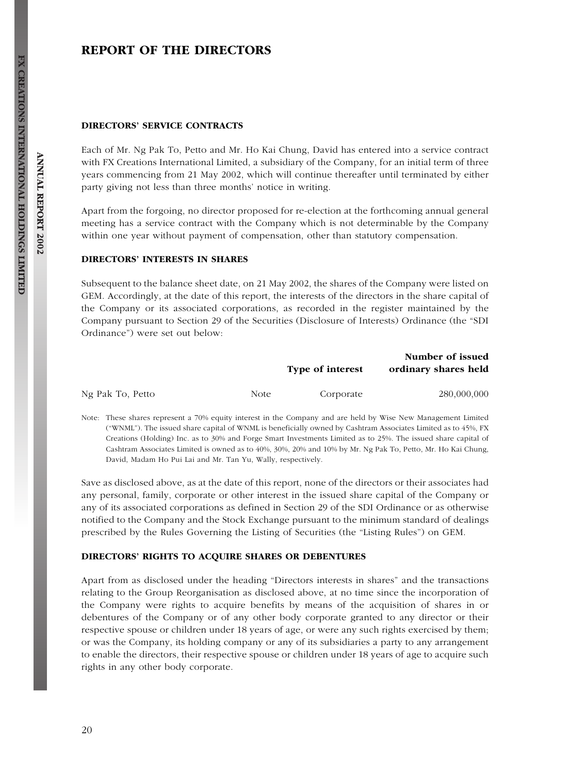# REPORT OF THE DIRECTORS

#### DIRECTORS' SERVICE CONTRACTS

Each of Mr. Ng Pak To, Petto and Mr. Ho Kai Chung, David has entered into a service contract with FX Creations International Limited, a subsidiary of the Company, for an initial term of three years commencing from 21 May 2002, which will continue thereafter until terminated by either party giving not less than three months' notice in writing.

Apart from the forgoing, no director proposed for re-election at the forthcoming annual general meeting has a service contract with the Company which is not determinable by the Company within one year without payment of compensation, other than statutory compensation.

## DIRECTORS' INTERESTS IN SHARES

Subsequent to the balance sheet date, on 21 May 2002, the shares of the Company were listed on GEM. Accordingly, at the date of this report, the interests of the directors in the share capital of the Company or its associated corporations, as recorded in the register maintained by the Company pursuant to Section 29 of the Securities (Disclosure of Interests) Ordinance (the ''SDI Ordinance'') were set out below:

|                  |       | Type of interest | Number of issued<br>ordinary shares held |
|------------------|-------|------------------|------------------------------------------|
| Ng Pak To, Petto | Note: | Corporate        | 280,000,000                              |

Note: These shares represent a 70% equity interest in the Company and are held by Wise New Management Limited (''WNML''). The issued share capital of WNML is beneficially owned by Cashtram Associates Limited as to 45%, FX Creations (Holding) Inc. as to 30% and Forge Smart Investments Limited as to 25%. The issued share capital of Cashtram Associates Limited is owned as to 40%, 30%, 20% and 10% by Mr. Ng Pak To, Petto, Mr. Ho Kai Chung, David, Madam Ho Pui Lai and Mr. Tan Yu, Wally, respectively.

Save as disclosed above, as at the date of this report, none of the directors or their associates had any personal, family, corporate or other interest in the issued share capital of the Company or any of its associated corporations as defined in Section 29 of the SDI Ordinance or as otherwise notified to the Company and the Stock Exchange pursuant to the minimum standard of dealings prescribed by the Rules Governing the Listing of Securities (the ''Listing Rules'') on GEM.

#### DIRECTORS' RIGHTS TO ACQUIRE SHARES OR DEBENTURES

Apart from as disclosed under the heading ''Directors interests in shares'' and the transactions relating to the Group Reorganisation as disclosed above, at no time since the incorporation of the Company were rights to acquire benefits by means of the acquisition of shares in or debentures of the Company or of any other body corporate granted to any director or their respective spouse or children under 18 years of age, or were any such rights exercised by them; or was the Company, its holding company or any of its subsidiaries a party to any arrangement to enable the directors, their respective spouse or children under 18 years of age to acquire such rights in any other body corporate.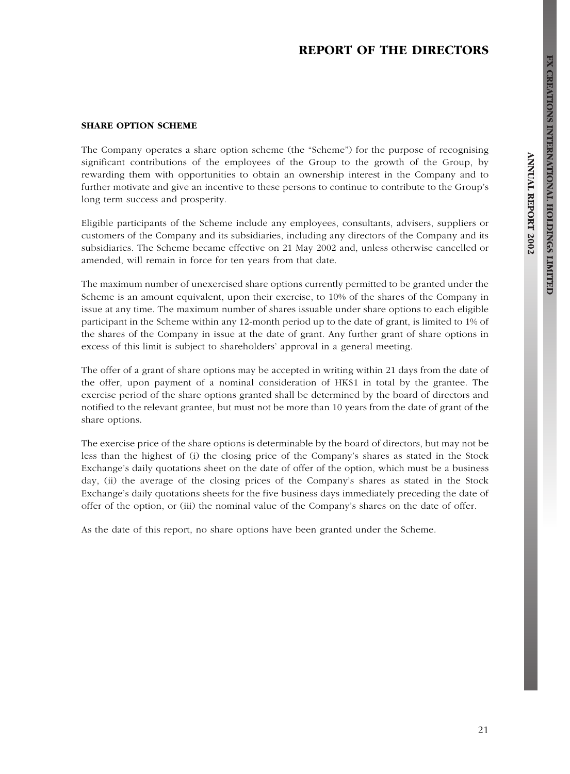# REPORT OF THE DIRECTORS

#### SHARE OPTION SCHEME

The Company operates a share option scheme (the "Scheme") for the purpose of recognising significant contributions of the employees of the Group to the growth of the Group, by rewarding them with opportunities to obtain an ownership interest in the Company and to further motivate and give an incentive to these persons to continue to contribute to the Group's long term success and prosperity.

Eligible participants of the Scheme include any employees, consultants, advisers, suppliers or customers of the Company and its subsidiaries, including any directors of the Company and its subsidiaries. The Scheme became effective on 21 May 2002 and, unless otherwise cancelled or amended, will remain in force for ten years from that date.

The maximum number of unexercised share options currently permitted to be granted under the Scheme is an amount equivalent, upon their exercise, to 10% of the shares of the Company in issue at any time. The maximum number of shares issuable under share options to each eligible participant in the Scheme within any 12-month period up to the date of grant, is limited to 1% of the shares of the Company in issue at the date of grant. Any further grant of share options in excess of this limit is subject to shareholders' approval in a general meeting.

The offer of a grant of share options may be accepted in writing within 21 days from the date of the offer, upon payment of a nominal consideration of HK\$1 in total by the grantee. The exercise period of the share options granted shall be determined by the board of directors and notified to the relevant grantee, but must not be more than 10 years from the date of grant of the share options.

The exercise price of the share options is determinable by the board of directors, but may not be less than the highest of (i) the closing price of the Company's shares as stated in the Stock Exchange's daily quotations sheet on the date of offer of the option, which must be a business day, (ii) the average of the closing prices of the Company's shares as stated in the Stock Exchange's daily quotations sheets for the five business days immediately preceding the date of offer of the option, or (iii) the nominal value of the Company's shares on the date of offer.

As the date of this report, no share options have been granted under the Scheme.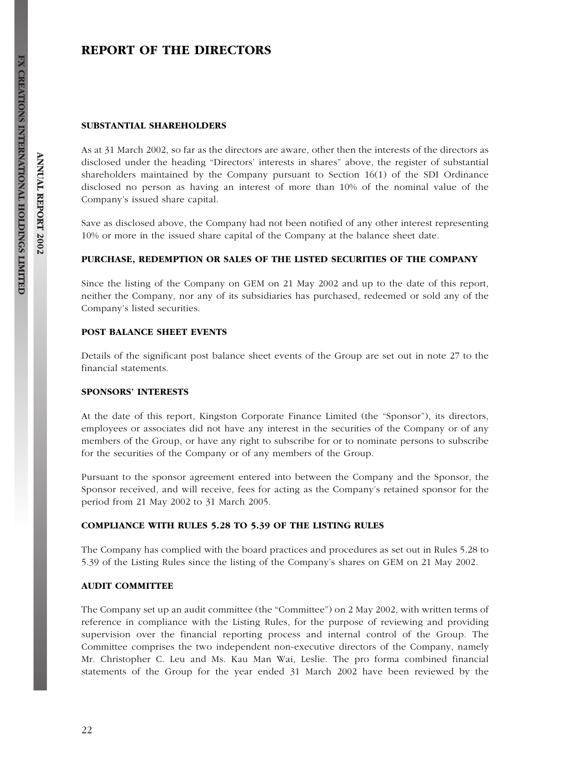# REPORT OF THE DIRECTORS

#### SUBSTANTIAL SHAREHOLDERS

As at 31 March 2002, so far as the directors are aware, other then the interests of the directors as disclosed under the heading ''Directors' interests in shares'' above, the register of substantial shareholders maintained by the Company pursuant to Section 16(1) of the SDI Ordinance disclosed no person as having an interest of more than 10% of the nominal value of the Company's issued share capital.

Save as disclosed above, the Company had not been notified of any other interest representing 10% or more in the issued share capital of the Company at the balance sheet date.

#### PURCHASE, REDEMPTION OR SALES OF THE LISTED SECURITIES OF THE COMPANY

Since the listing of the Company on GEM on 21 May 2002 and up to the date of this report, neither the Company, nor any of its subsidiaries has purchased, redeemed or sold any of the Company's listed securities.

#### POST BALANCE SHEET EVENTS

Details of the significant post balance sheet events of the Group are set out in note 27 to the financial statements.

#### SPONSORS' INTERESTS

At the date of this report, Kingston Corporate Finance Limited (the "Sponsor"), its directors, employees or associates did not have any interest in the securities of the Company or of any members of the Group, or have any right to subscribe for or to nominate persons to subscribe for the securities of the Company or of any members of the Group.

Pursuant to the sponsor agreement entered into between the Company and the Sponsor, the Sponsor received, and will receive, fees for acting as the Company's retained sponsor for the period from 21 May 2002 to 31 March 2005.

#### COMPLIANCE WITH RULES 5.28 TO 5.39 OF THE LISTING RULES

The Company has complied with the board practices and procedures as set out in Rules 5.28 to 5.39 of the Listing Rules since the listing of the Company's shares on GEM on 21 May 2002.

#### AUDIT COMMITTEE

The Company set up an audit committee (the "Committee") on 2 May 2002, with written terms of reference in compliance with the Listing Rules, for the purpose of reviewing and providing supervision over the financial reporting process and internal control of the Group. The Committee comprises the two independent non-executive directors of the Company, namely Mr. Christopher C. Leu and Ms. Kau Man Wai, Leslie. The pro forma combined financial statements of the Group for the year ended 31 March 2002 have been reviewed by the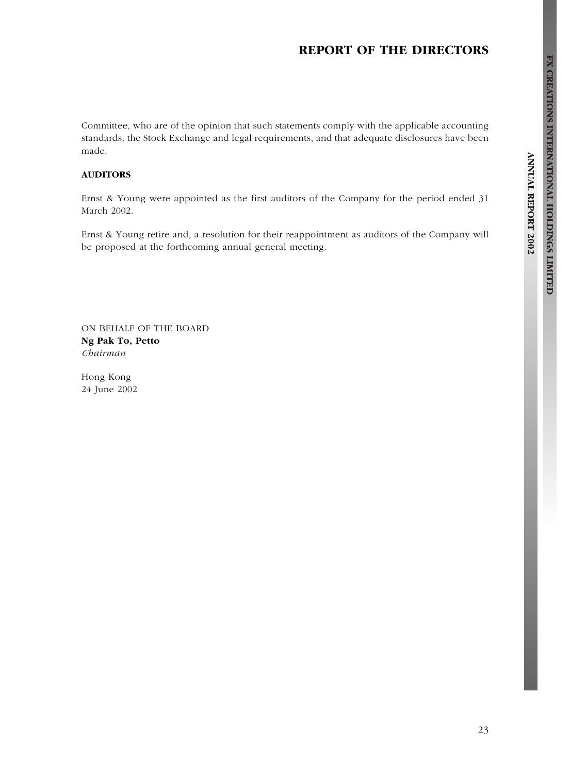# REPORT OF THE DIRECTORS

Committee, who are of the opinion that such statements comply with the applicable accounting standards, the Stock Exchange and legal requirements, and that adequate disclosures have been made.

## AUDITORS

Ernst & Young were appointed as the first auditors of the Company for the period ended 31 March 2002.

Ernst & Young retire and, a resolution for their reappointment as auditors of the Company will be proposed at the forthcoming annual general meeting.

ON BEHALF OF THE BOARD Ng Pak To, Petto Chairman

Hong Kong 24 June 2002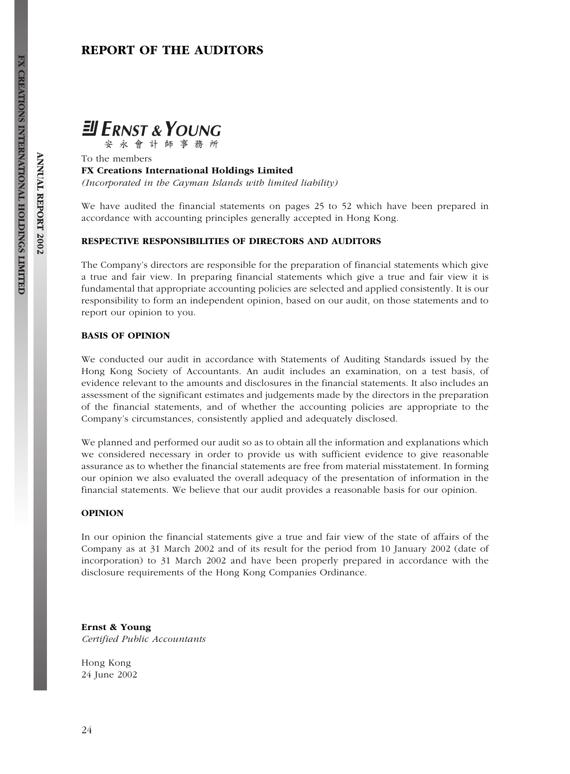# REPORT OF THE AUDITORS



安永會計師事務所

To the members FX Creations International Holdings Limited (Incorporated in the Cayman Islands with limited liability)

We have audited the financial statements on pages 25 to 52 which have been prepared in accordance with accounting principles generally accepted in Hong Kong.

### RESPECTIVE RESPONSIBILITIES OF DIRECTORS AND AUDITORS

The Company's directors are responsible for the preparation of financial statements which give a true and fair view. In preparing financial statements which give a true and fair view it is fundamental that appropriate accounting policies are selected and applied consistently. It is our responsibility to form an independent opinion, based on our audit, on those statements and to report our opinion to you.

#### BASIS OF OPINION

We conducted our audit in accordance with Statements of Auditing Standards issued by the Hong Kong Society of Accountants. An audit includes an examination, on a test basis, of evidence relevant to the amounts and disclosures in the financial statements. It also includes an assessment of the significant estimates and judgements made by the directors in the preparation of the financial statements, and of whether the accounting policies are appropriate to the Company's circumstances, consistently applied and adequately disclosed.

We planned and performed our audit so as to obtain all the information and explanations which we considered necessary in order to provide us with sufficient evidence to give reasonable assurance as to whether the financial statements are free from material misstatement. In forming our opinion we also evaluated the overall adequacy of the presentation of information in the financial statements. We believe that our audit provides a reasonable basis for our opinion.

#### OPINION

In our opinion the financial statements give a true and fair view of the state of affairs of the Company as at 31 March 2002 and of its result for the period from 10 January 2002 (date of incorporation) to 31 March 2002 and have been properly prepared in accordance with the disclosure requirements of the Hong Kong Companies Ordinance.

Ernst & Young Certified Public Accountants

Hong Kong 24 June 2002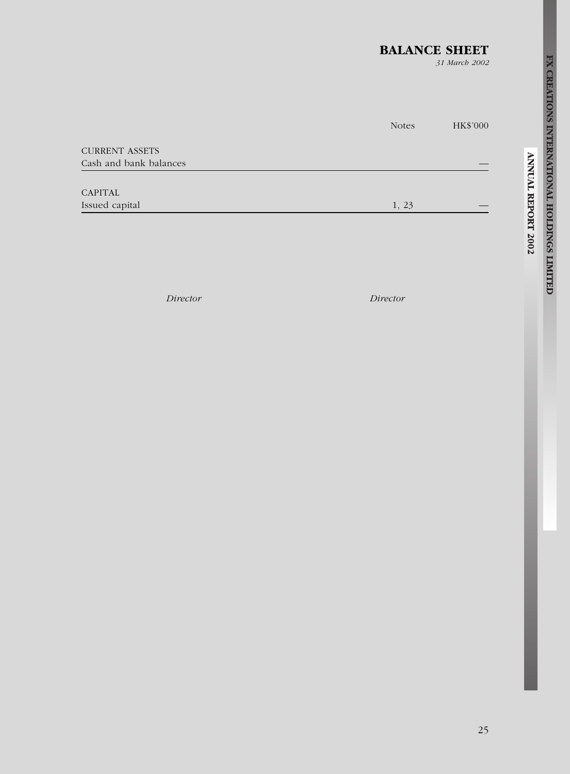# BALANCE SHEET

31 March 2002

|                        | <b>Notes</b> | HK\$'000 |
|------------------------|--------------|----------|
| <b>CURRENT ASSETS</b>  |              |          |
| Cash and bank balances |              |          |
|                        |              |          |
| <b>CAPITAL</b>         |              |          |
| Issued capital         | 1, 23        |          |
|                        |              |          |

Director Director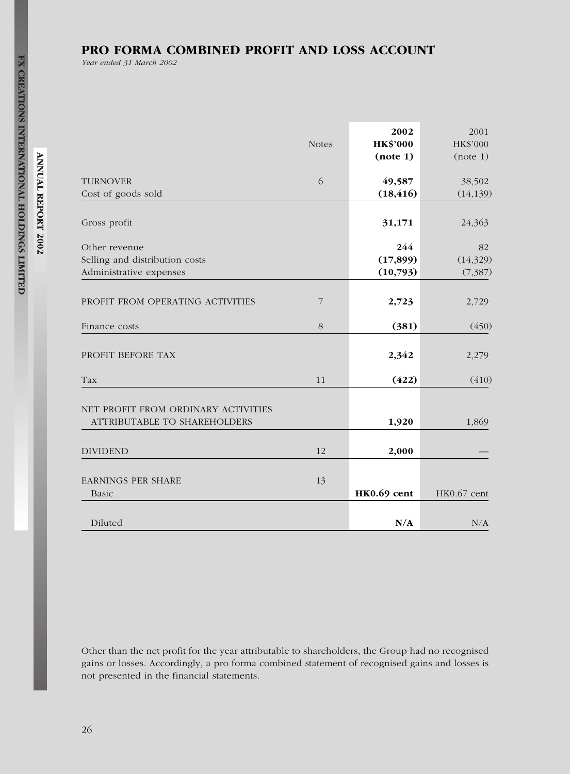# PRO FORMA COMBINED PROFIT AND LOSS ACCOUNT

Year ended 31 March 2002

|                                                                            | <b>Notes</b>   | 2002<br><b>HK\$'000</b><br>(note 1) | 2001<br>HK\$'000<br>(note 1) |
|----------------------------------------------------------------------------|----------------|-------------------------------------|------------------------------|
| <b>TURNOVER</b><br>Cost of goods sold                                      | 6              | 49,587<br>(18, 416)                 | 38,502<br>(14, 139)          |
| Gross profit                                                               |                | 31,171                              | 24,363                       |
| Other revenue<br>Selling and distribution costs<br>Administrative expenses |                | 244<br>(17, 899)<br>(10,793)        | 82<br>(14, 329)<br>(7, 387)  |
| PROFIT FROM OPERATING ACTIVITIES                                           | $\overline{7}$ | 2,723                               | 2,729                        |
| Finance costs                                                              | 8              | (381)                               | (450)                        |
| PROFIT BEFORE TAX                                                          |                | 2,342                               | 2,279                        |
| Tax                                                                        | 11             | (422)                               | (410)                        |
| NET PROFIT FROM ORDINARY ACTIVITIES<br>ATTRIBUTABLE TO SHAREHOLDERS        |                | 1,920                               | 1,869                        |
| <b>DIVIDEND</b>                                                            | 12             | 2,000                               |                              |
| <b>EARNINGS PER SHARE</b><br>Basic                                         | 13             | HK0.69 cent                         | HK0.67 cent                  |
| Diluted                                                                    |                | N/A                                 | $\mathrm{N}/\mathrm{A}$      |

Other than the net profit for the year attributable to shareholders, the Group had no recognised gains or losses. Accordingly, a pro forma combined statement of recognised gains and losses is not presented in the financial statements.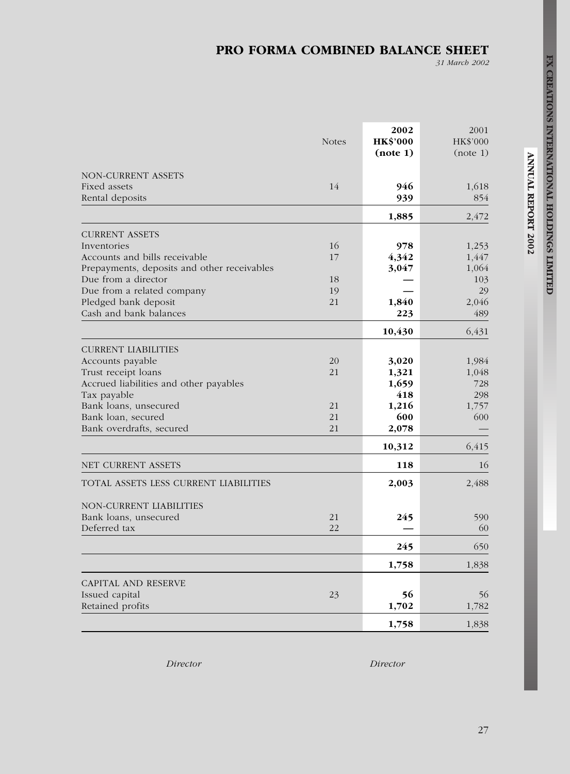# PRO FORMA COMBINED BALANCE SHEET

31 March 2002

|                                             | <b>Notes</b> | 2002<br><b>HK\$'000</b><br>(note 1) | 2001<br>HK\$'000<br>(note 1) |
|---------------------------------------------|--------------|-------------------------------------|------------------------------|
| NON-CURRENT ASSETS                          |              |                                     |                              |
| Fixed assets                                | 14           | 946                                 | 1,618                        |
| Rental deposits                             |              | 939                                 | 854                          |
|                                             |              | 1,885                               | 2,472                        |
| <b>CURRENT ASSETS</b>                       |              |                                     |                              |
| Inventories                                 | 16           | 978                                 | 1,253                        |
| Accounts and bills receivable               | 17           | 4,342                               | 1,447                        |
| Prepayments, deposits and other receivables |              | 3,047                               | 1,064                        |
| Due from a director                         | 18           |                                     | 103                          |
| Due from a related company                  | 19           |                                     | 29                           |
| Pledged bank deposit                        | 21           | 1,840                               | 2,046                        |
| Cash and bank balances                      |              | 223                                 | 489                          |
|                                             |              | 10,430                              | 6,431                        |
| <b>CURRENT LIABILITIES</b>                  |              |                                     |                              |
| Accounts payable                            | 20           | 3,020                               | 1,984                        |
| Trust receipt loans                         | 21           | 1,321                               | 1,048                        |
| Accrued liabilities and other payables      |              | 1,659                               | 728                          |
| Tax payable                                 |              | 418                                 | 298                          |
| Bank loans, unsecured                       | 21           | 1,216                               | 1,757                        |
| Bank loan, secured                          | 21           | 600                                 | 600                          |
| Bank overdrafts, secured                    | 21           | 2,078                               |                              |
|                                             |              | 10,312                              | 6,415                        |
| NET CURRENT ASSETS                          |              | 118                                 | 16                           |
| TOTAL ASSETS LESS CURRENT LIABILITIES       |              | 2,003                               | 2,488                        |
| NON-CURRENT LIABILITIES                     |              |                                     |                              |
| Bank loans, unsecured                       | 21           | 245                                 | 590                          |
| Deferred tax                                | 22           |                                     | 60                           |
|                                             |              | 245                                 | 650                          |
|                                             |              | 1,758                               | 1,838                        |
| CAPITAL AND RESERVE                         |              |                                     |                              |
| Issued capital                              | 23           | 56                                  | 56                           |
| Retained profits                            |              | 1,702                               | 1,782                        |
|                                             |              | 1,758                               | 1,838                        |

Director Director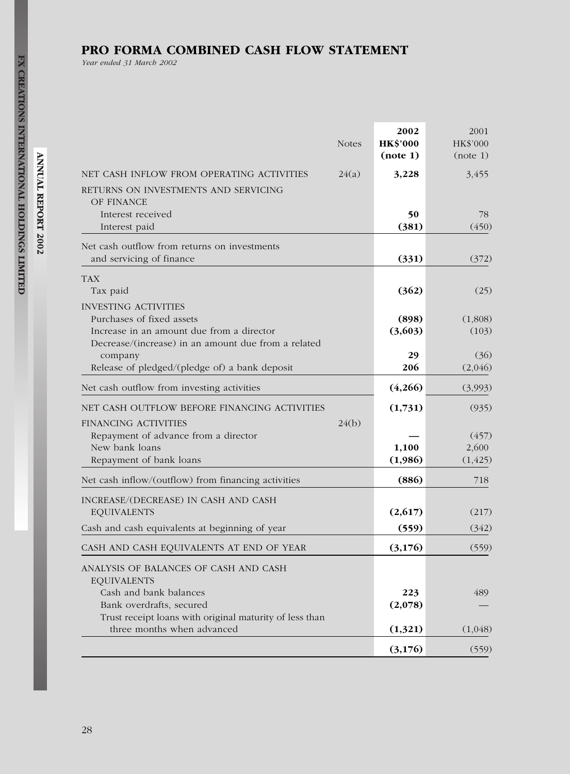# PRO FORMA COMBINED CASH FLOW STATEMENT

Year ended 31 March 2002

|                                                                                                                                                                              | <b>Notes</b> | 2002<br><b>HK\$'000</b><br>(note 1) | 2001<br>HK\$'000<br>(note 1)        |
|------------------------------------------------------------------------------------------------------------------------------------------------------------------------------|--------------|-------------------------------------|-------------------------------------|
| NET CASH INFLOW FROM OPERATING ACTIVITIES<br>RETURNS ON INVESTMENTS AND SERVICING<br>OF FINANCE                                                                              | 24(a)        | 3,228                               | 3,455                               |
| Interest received<br>Interest paid                                                                                                                                           |              | 50<br>(381)                         | 78<br>(450)                         |
| Net cash outflow from returns on investments<br>and servicing of finance                                                                                                     |              | (331)                               | (372)                               |
| <b>TAX</b><br>Tax paid<br><b>INVESTING ACTIVITIES</b>                                                                                                                        |              | (362)                               | (25)                                |
| Purchases of fixed assets<br>Increase in an amount due from a director<br>Decrease/(increase) in an amount due from a related                                                |              | (898)<br>(3,603)                    | (1,808)<br>(103)                    |
| company<br>Release of pledged/(pledge of) a bank deposit                                                                                                                     |              | 29<br>206                           | (36)<br>(2,046)                     |
| Net cash outflow from investing activities                                                                                                                                   |              | (4,266)                             | (3,993)                             |
| NET CASH OUTFLOW BEFORE FINANCING ACTIVITIES<br>FINANCING ACTIVITIES<br>Repayment of advance from a director<br>New bank loans<br>Repayment of bank loans                    | 24(b)        | (1,731)<br>1,100<br>(1,986)         | (935)<br>(457)<br>2,600<br>(1, 425) |
| Net cash inflow/(outflow) from financing activities                                                                                                                          |              | (886)                               | 718                                 |
| INCREASE/(DECREASE) IN CASH AND CASH<br><b>EQUIVALENTS</b><br>Cash and cash equivalents at beginning of year                                                                 |              | (2,617)<br>(559)                    | (217)<br>(342)                      |
| CASH AND CASH EQUIVALENTS AT END OF YEAR                                                                                                                                     |              | (3,176)                             | (559)                               |
| ANALYSIS OF BALANCES OF CASH AND CASH<br><b>EQUIVALENTS</b><br>Cash and bank balances<br>Bank overdrafts, secured<br>Trust receipt loans with original maturity of less than |              | 223<br>(2,078)                      | 489                                 |
| three months when advanced                                                                                                                                                   |              | (1,321)                             | (1,048)                             |
|                                                                                                                                                                              |              | (3,176)                             | (559)                               |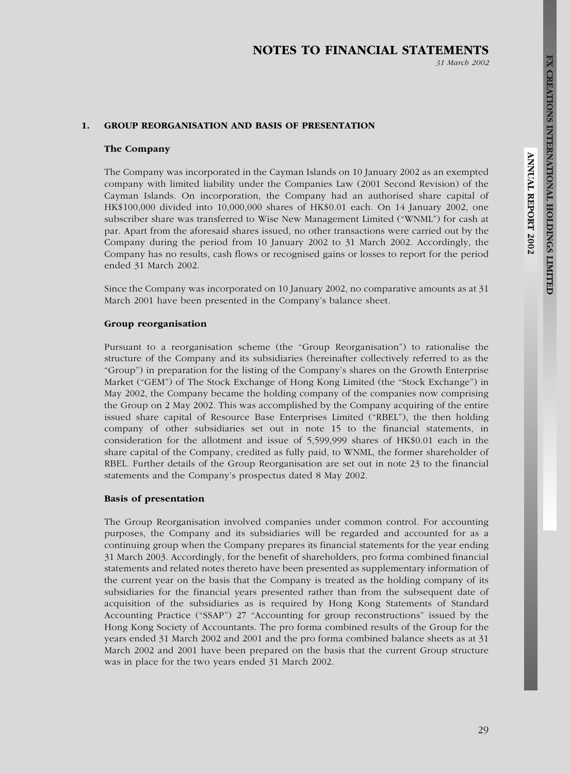31 March 2002

#### 1. GROUP REORGANISATION AND BASIS OF PRESENTATION

#### The Company

The Company was incorporated in the Cayman Islands on 10 January 2002 as an exempted company with limited liability under the Companies Law (2001 Second Revision) of the Cayman Islands. On incorporation, the Company had an authorised share capital of HK\$100,000 divided into 10,000,000 shares of HK\$0.01 each. On 14 January 2002, one subscriber share was transferred to Wise New Management Limited (''WNML'') for cash at par. Apart from the aforesaid shares issued, no other transactions were carried out by the Company during the period from 10 January 2002 to 31 March 2002. Accordingly, the Company has no results, cash flows or recognised gains or losses to report for the period ended 31 March 2002.

Since the Company was incorporated on 10 January 2002, no comparative amounts as at 31 March 2001 have been presented in the Company's balance sheet.

#### Group reorganisation

Pursuant to a reorganisation scheme (the ''Group Reorganisation'') to rationalise the structure of the Company and its subsidiaries (hereinafter collectively referred to as the ''Group'') in preparation for the listing of the Company's shares on the Growth Enterprise Market ("GEM") of The Stock Exchange of Hong Kong Limited (the "Stock Exchange") in May 2002, the Company became the holding company of the companies now comprising the Group on 2 May 2002. This was accomplished by the Company acquiring of the entire issued share capital of Resource Base Enterprises Limited ("RBEL"), the then holding company of other subsidiaries set out in note 15 to the financial statements, in consideration for the allotment and issue of 5,599,999 shares of HK\$0.01 each in the share capital of the Company, credited as fully paid, to WNML, the former shareholder of RBEL. Further details of the Group Reorganisation are set out in note 23 to the financial statements and the Company's prospectus dated 8 May 2002.

#### Basis of presentation

The Group Reorganisation involved companies under common control. For accounting purposes, the Company and its subsidiaries will be regarded and accounted for as a continuing group when the Company prepares its financial statements for the year ending 31 March 2003. Accordingly, for the benefit of shareholders, pro forma combined financial statements and related notes thereto have been presented as supplementary information of the current year on the basis that the Company is treated as the holding company of its subsidiaries for the financial years presented rather than from the subsequent date of acquisition of the subsidiaries as is required by Hong Kong Statements of Standard Accounting Practice ("SSAP") 27 "Accounting for group reconstructions" issued by the Hong Kong Society of Accountants. The pro forma combined results of the Group for the years ended 31 March 2002 and 2001 and the pro forma combined balance sheets as at 31 March 2002 and 2001 have been prepared on the basis that the current Group structure was in place for the two years ended 31 March 2002.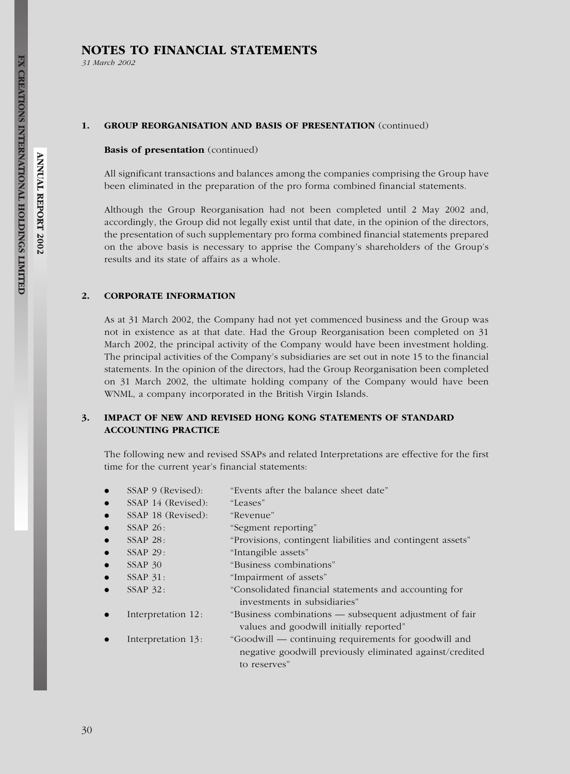31 March 2002

#### 1. GROUP REORGANISATION AND BASIS OF PRESENTATION (continued)

#### Basis of presentation (continued)

All significant transactions and balances among the companies comprising the Group have been eliminated in the preparation of the pro forma combined financial statements.

Although the Group Reorganisation had not been completed until 2 May 2002 and, accordingly, the Group did not legally exist until that date, in the opinion of the directors, the presentation of such supplementary pro forma combined financial statements prepared on the above basis is necessary to apprise the Company's shareholders of the Group's results and its state of affairs as a whole.

#### 2. CORPORATE INFORMATION

As at 31 March 2002, the Company had not yet commenced business and the Group was not in existence as at that date. Had the Group Reorganisation been completed on 31 March 2002, the principal activity of the Company would have been investment holding. The principal activities of the Company's subsidiaries are set out in note 15 to the financial statements. In the opinion of the directors, had the Group Reorganisation been completed on 31 March 2002, the ultimate holding company of the Company would have been WNML, a company incorporated in the British Virgin Islands.

## 3. IMPACT OF NEW AND REVISED HONG KONG STATEMENTS OF STANDARD ACCOUNTING PRACTICE

The following new and revised SSAPs and related Interpretations are effective for the first time for the current year's financial statements:

- SSAP 9 (Revised): "Events after the balance sheet date"
- SSAP 14 (Revised): "Leases"
- SSAP 18 (Revised): "Revenue"
- SSAP 26: "Segment reporting"
- SSAP 28: "Provisions, contingent liabilities and contingent assets"
- SSAP 29: "Intangible assets"
- . SSAP 30 ''Business combinations''
- SSAP 31: "Impairment of assets"
- . SSAP 32: ''Consolidated financial statements and accounting for investments in subsidiaries''
- . Interpretation 12: ''Business combinations subsequent adjustment of fair values and goodwill initially reported''
- . Interpretation 13: ''Goodwill continuing requirements for goodwill and negative goodwill previously eliminated against/credited to reserves''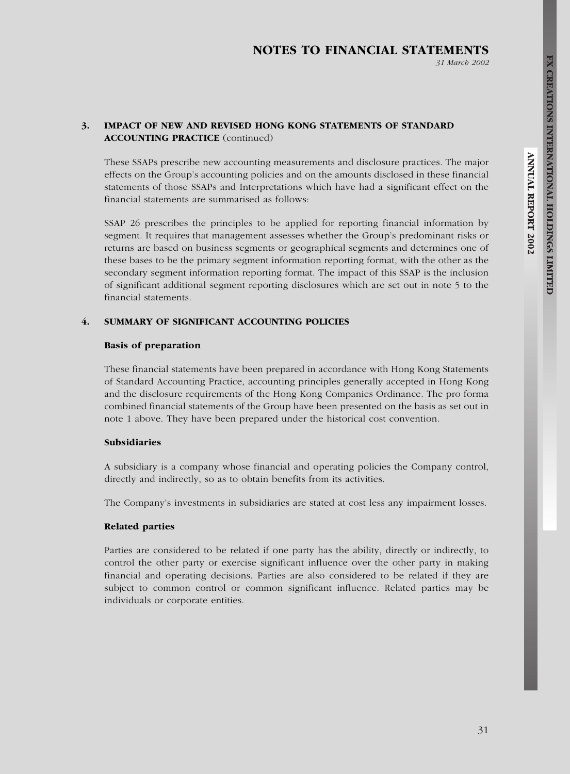31 March 2002

## 3. IMPACT OF NEW AND REVISED HONG KONG STATEMENTS OF STANDARD ACCOUNTING PRACTICE (continued)

These SSAPs prescribe new accounting measurements and disclosure practices. The major effects on the Group's accounting policies and on the amounts disclosed in these financial statements of those SSAPs and Interpretations which have had a significant effect on the financial statements are summarised as follows:

SSAP 26 prescribes the principles to be applied for reporting financial information by segment. It requires that management assesses whether the Group's predominant risks or returns are based on business segments or geographical segments and determines one of these bases to be the primary segment information reporting format, with the other as the secondary segment information reporting format. The impact of this SSAP is the inclusion of significant additional segment reporting disclosures which are set out in note 5 to the financial statements.

#### 4. SUMMARY OF SIGNIFICANT ACCOUNTING POLICIES

#### Basis of preparation

These financial statements have been prepared in accordance with Hong Kong Statements of Standard Accounting Practice, accounting principles generally accepted in Hong Kong and the disclosure requirements of the Hong Kong Companies Ordinance. The pro forma combined financial statements of the Group have been presented on the basis as set out in note 1 above. They have been prepared under the historical cost convention.

#### Subsidiaries

A subsidiary is a company whose financial and operating policies the Company control, directly and indirectly, so as to obtain benefits from its activities.

The Company's investments in subsidiaries are stated at cost less any impairment losses.

#### Related parties

Parties are considered to be related if one party has the ability, directly or indirectly, to control the other party or exercise significant influence over the other party in making financial and operating decisions. Parties are also considered to be related if they are subject to common control or common significant influence. Related parties may be individuals or corporate entities.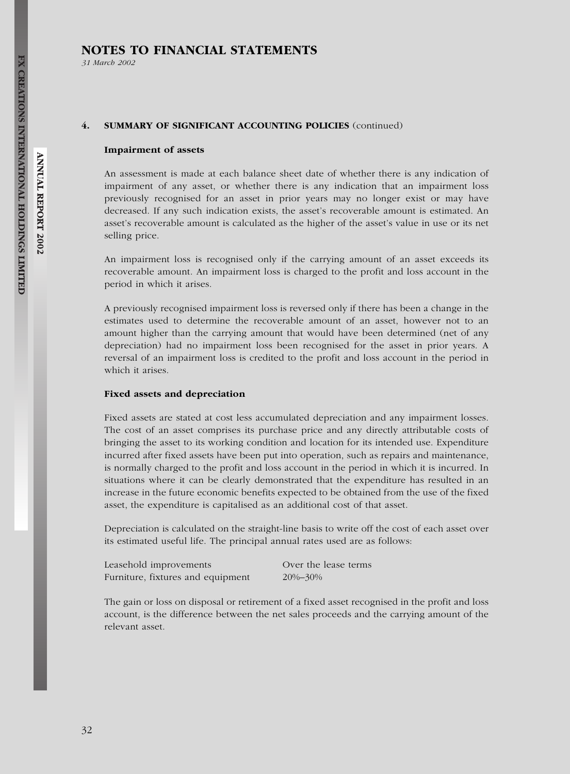31 March 2002

#### 4. SUMMARY OF SIGNIFICANT ACCOUNTING POLICIES (continued)

#### Impairment of assets

An assessment is made at each balance sheet date of whether there is any indication of impairment of any asset, or whether there is any indication that an impairment loss previously recognised for an asset in prior years may no longer exist or may have decreased. If any such indication exists, the asset's recoverable amount is estimated. An asset's recoverable amount is calculated as the higher of the asset's value in use or its net selling price.

An impairment loss is recognised only if the carrying amount of an asset exceeds its recoverable amount. An impairment loss is charged to the profit and loss account in the period in which it arises.

A previously recognised impairment loss is reversed only if there has been a change in the estimates used to determine the recoverable amount of an asset, however not to an amount higher than the carrying amount that would have been determined (net of any depreciation) had no impairment loss been recognised for the asset in prior years. A reversal of an impairment loss is credited to the profit and loss account in the period in which it arises.

#### Fixed assets and depreciation

Fixed assets are stated at cost less accumulated depreciation and any impairment losses. The cost of an asset comprises its purchase price and any directly attributable costs of bringing the asset to its working condition and location for its intended use. Expenditure incurred after fixed assets have been put into operation, such as repairs and maintenance, is normally charged to the profit and loss account in the period in which it is incurred. In situations where it can be clearly demonstrated that the expenditure has resulted in an increase in the future economic benefits expected to be obtained from the use of the fixed asset, the expenditure is capitalised as an additional cost of that asset.

Depreciation is calculated on the straight-line basis to write off the cost of each asset over its estimated useful life. The principal annual rates used are as follows:

| Leasehold improvements            | Over the |
|-----------------------------------|----------|
| Furniture, fixtures and equipment | 20%-30%  |

the lease terms

The gain or loss on disposal or retirement of a fixed asset recognised in the profit and loss account, is the difference between the net sales proceeds and the carrying amount of the relevant asset.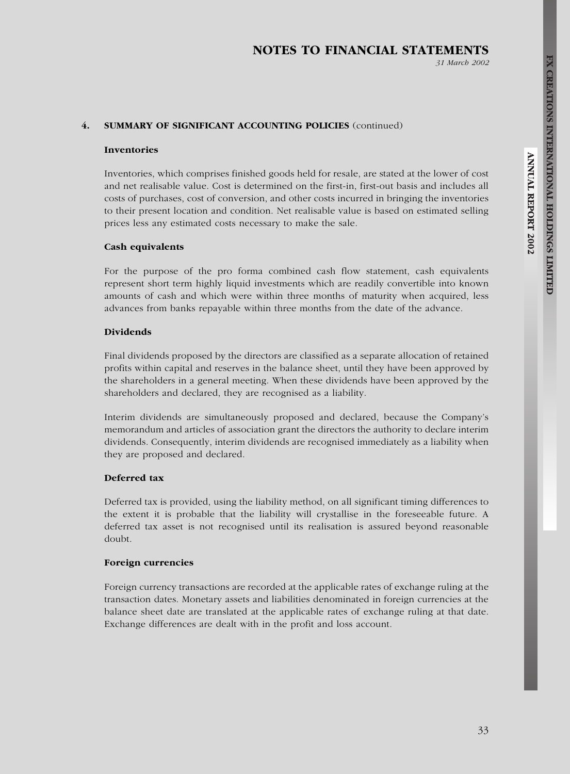#### 4. SUMMARY OF SIGNIFICANT ACCOUNTING POLICIES (continued)

#### Inventories

Inventories, which comprises finished goods held for resale, are stated at the lower of cost and net realisable value. Cost is determined on the first-in, first-out basis and includes all costs of purchases, cost of conversion, and other costs incurred in bringing the inventories to their present location and condition. Net realisable value is based on estimated selling prices less any estimated costs necessary to make the sale.

#### Cash equivalents

For the purpose of the pro forma combined cash flow statement, cash equivalents represent short term highly liquid investments which are readily convertible into known amounts of cash and which were within three months of maturity when acquired, less advances from banks repayable within three months from the date of the advance.

#### Dividends

Final dividends proposed by the directors are classified as a separate allocation of retained profits within capital and reserves in the balance sheet, until they have been approved by the shareholders in a general meeting. When these dividends have been approved by the shareholders and declared, they are recognised as a liability.

Interim dividends are simultaneously proposed and declared, because the Company's memorandum and articles of association grant the directors the authority to declare interim dividends. Consequently, interim dividends are recognised immediately as a liability when they are proposed and declared.

#### Deferred tax

Deferred tax is provided, using the liability method, on all significant timing differences to the extent it is probable that the liability will crystallise in the foreseeable future. A deferred tax asset is not recognised until its realisation is assured beyond reasonable doubt.

## Foreign currencies

Foreign currency transactions are recorded at the applicable rates of exchange ruling at the transaction dates. Monetary assets and liabilities denominated in foreign currencies at the balance sheet date are translated at the applicable rates of exchange ruling at that date. Exchange differences are dealt with in the profit and loss account.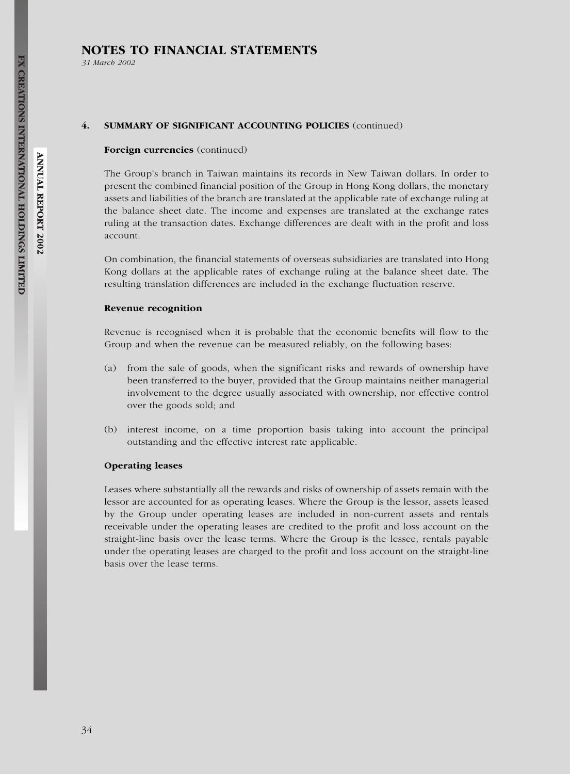31 March 2002

#### 4. SUMMARY OF SIGNIFICANT ACCOUNTING POLICIES (continued)

#### Foreign currencies (continued)

The Group's branch in Taiwan maintains its records in New Taiwan dollars. In order to present the combined financial position of the Group in Hong Kong dollars, the monetary assets and liabilities of the branch are translated at the applicable rate of exchange ruling at the balance sheet date. The income and expenses are translated at the exchange rates ruling at the transaction dates. Exchange differences are dealt with in the profit and loss account.

On combination, the financial statements of overseas subsidiaries are translated into Hong Kong dollars at the applicable rates of exchange ruling at the balance sheet date. The resulting translation differences are included in the exchange fluctuation reserve.

#### Revenue recognition

Revenue is recognised when it is probable that the economic benefits will flow to the Group and when the revenue can be measured reliably, on the following bases:

- (a) from the sale of goods, when the significant risks and rewards of ownership have been transferred to the buyer, provided that the Group maintains neither managerial involvement to the degree usually associated with ownership, nor effective control over the goods sold; and
- (b) interest income, on a time proportion basis taking into account the principal outstanding and the effective interest rate applicable.

#### Operating leases

Leases where substantially all the rewards and risks of ownership of assets remain with the lessor are accounted for as operating leases. Where the Group is the lessor, assets leased by the Group under operating leases are included in non-current assets and rentals receivable under the operating leases are credited to the profit and loss account on the straight-line basis over the lease terms. Where the Group is the lessee, rentals payable under the operating leases are charged to the profit and loss account on the straight-line basis over the lease terms.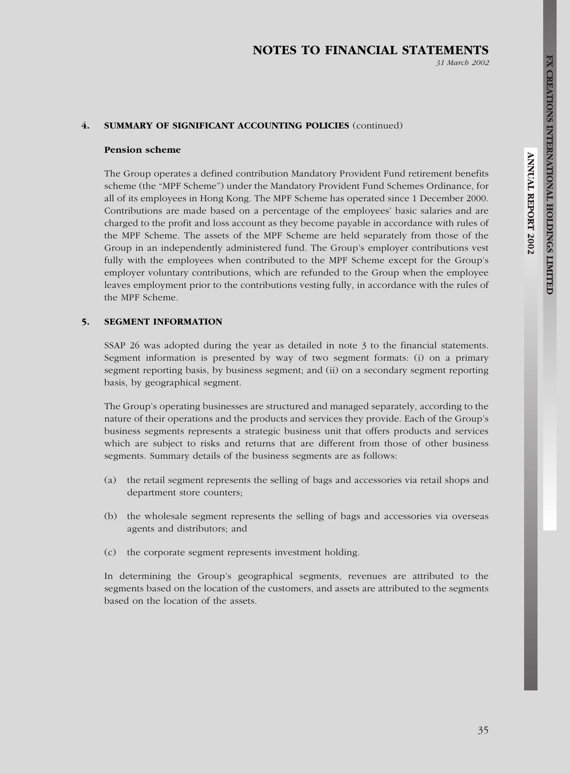#### 31 March 2002

#### 4. SUMMARY OF SIGNIFICANT ACCOUNTING POLICIES (continued)

#### Pension scheme

The Group operates a defined contribution Mandatory Provident Fund retirement benefits scheme (the ''MPF Scheme'') under the Mandatory Provident Fund Schemes Ordinance, for all of its employees in Hong Kong. The MPF Scheme has operated since 1 December 2000. Contributions are made based on a percentage of the employees' basic salaries and are charged to the profit and loss account as they become payable in accordance with rules of the MPF Scheme. The assets of the MPF Scheme are held separately from those of the Group in an independently administered fund. The Group's employer contributions vest fully with the employees when contributed to the MPF Scheme except for the Group's employer voluntary contributions, which are refunded to the Group when the employee leaves employment prior to the contributions vesting fully, in accordance with the rules of the MPF Scheme.

## 5. SEGMENT INFORMATION

SSAP 26 was adopted during the year as detailed in note 3 to the financial statements. Segment information is presented by way of two segment formats: (i) on a primary segment reporting basis, by business segment; and (ii) on a secondary segment reporting basis, by geographical segment.

The Group's operating businesses are structured and managed separately, according to the nature of their operations and the products and services they provide. Each of the Group's business segments represents a strategic business unit that offers products and services which are subject to risks and returns that are different from those of other business segments. Summary details of the business segments are as follows:

- (a) the retail segment represents the selling of bags and accessories via retail shops and department store counters;
- (b) the wholesale segment represents the selling of bags and accessories via overseas agents and distributors; and
- (c) the corporate segment represents investment holding.

In determining the Group's geographical segments, revenues are attributed to the segments based on the location of the customers, and assets are attributed to the segments based on the location of the assets.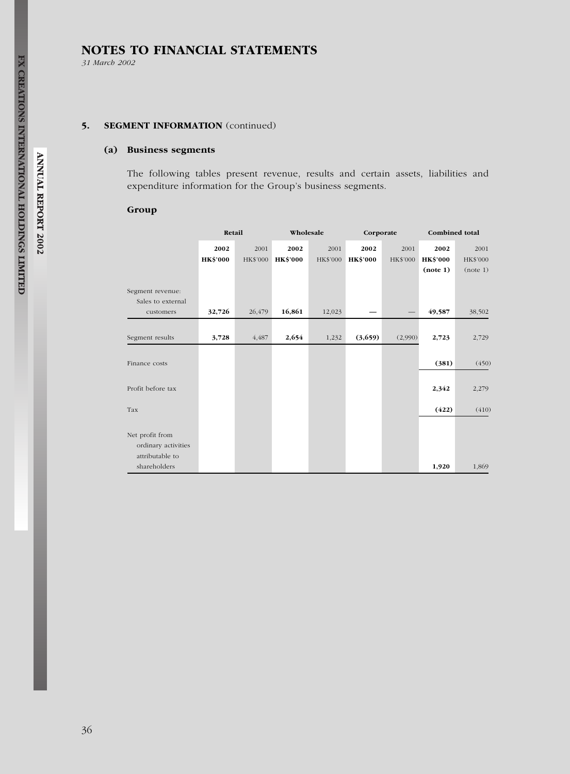31 March 2002

# 5. SEGMENT INFORMATION (continued)

## (a) Business segments

The following tables present revenue, results and certain assets, liabilities and expenditure information for the Group's business segments.

## Group

|                                        | Retail                  |                  |                         | Wholesale        |                         | Corporate        | Combined total          |                  |  |
|----------------------------------------|-------------------------|------------------|-------------------------|------------------|-------------------------|------------------|-------------------------|------------------|--|
|                                        | 2002<br><b>HK\$'000</b> | 2001<br>HK\$'000 | 2002<br><b>HK\$'000</b> | 2001<br>HK\$'000 | 2002<br><b>HK\$'000</b> | 2001<br>HK\$'000 | 2002<br><b>HK\$'000</b> | 2001<br>HK\$'000 |  |
|                                        |                         |                  |                         |                  |                         |                  | (note 1)                | (note 1)         |  |
| Segment revenue:                       |                         |                  |                         |                  |                         |                  |                         |                  |  |
| Sales to external<br>customers         | 32,726                  | 26,479           | 16,861                  | 12,023           |                         |                  | 49,587                  | 38,502           |  |
| Segment results                        | 3,728                   | 4,487            | 2,654                   | 1,232            | (3,659)                 | (2,990)          | 2,723                   | 2,729            |  |
| Finance costs                          |                         |                  |                         |                  |                         |                  | (381)                   | (450)            |  |
| Profit before tax                      |                         |                  |                         |                  |                         |                  | 2,342                   | 2,279            |  |
| Tax                                    |                         |                  |                         |                  |                         |                  | (422)                   | (410)            |  |
| Net profit from                        |                         |                  |                         |                  |                         |                  |                         |                  |  |
| ordinary activities<br>attributable to |                         |                  |                         |                  |                         |                  |                         |                  |  |
| shareholders                           |                         |                  |                         |                  |                         |                  | 1,920                   | 1,869            |  |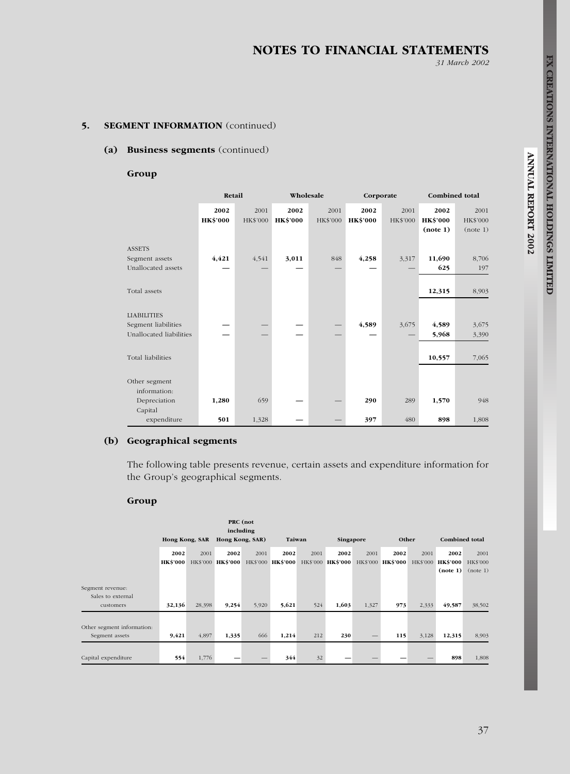31 March 2002

# 5. SEGMENT INFORMATION (continued)

#### (a) Business segments (continued)

Group

|                                      | Retail                  |                  |                         | Wholesale        |                         | Corporate        |                                     | Combined total               |  |  |
|--------------------------------------|-------------------------|------------------|-------------------------|------------------|-------------------------|------------------|-------------------------------------|------------------------------|--|--|
|                                      | 2002<br><b>HK\$'000</b> | 2001<br>HK\$'000 | 2002<br><b>HK\$'000</b> | 2001<br>HK\$'000 | 2002<br><b>HK\$'000</b> | 2001<br>HK\$'000 | 2002<br><b>HK\$'000</b><br>(note 1) | 2001<br>HK\$'000<br>(note 1) |  |  |
| <b>ASSETS</b>                        |                         |                  |                         |                  |                         |                  |                                     |                              |  |  |
| Segment assets<br>Unallocated assets | 4,421                   | 4,541            | 3,011                   | 848              | 4,258                   | 3,317            | 11,690<br>625                       | 8,706<br>197                 |  |  |
| Total assets                         |                         |                  |                         |                  |                         |                  | 12,315                              | 8,903                        |  |  |
| <b>LIABILITIES</b>                   |                         |                  |                         |                  |                         |                  |                                     |                              |  |  |
| Segment liabilities                  |                         |                  |                         |                  | 4,589                   | 3,675            | 4,589                               | 3,675                        |  |  |
| Unallocated liabilities              |                         |                  |                         |                  |                         |                  | 5,968                               | 3,390                        |  |  |
| Total liabilities                    |                         |                  |                         |                  |                         |                  | 10,557                              | 7,065                        |  |  |
| Other segment<br>information:        |                         |                  |                         |                  |                         |                  |                                     |                              |  |  |
| Depreciation<br>Capital              | 1,280                   | 659              |                         |                  | 290                     | 289              | 1,570                               | 948                          |  |  |
| expenditure                          | 501                     | 1,328            |                         |                  | 397                     | 480              | 898                                 | 1,808                        |  |  |

# (b) Geographical segments

The following table presents revenue, certain assets and expenditure information for the Group's geographical segments.

## Group

|                                                    | Hong Kong, SAR          |        | PRC (not<br>including<br>Hong Kong, SAR) |       | Taiwan                                      |      | Singapore |       | Other                     |       | <b>Combined</b> total                 |                                     |
|----------------------------------------------------|-------------------------|--------|------------------------------------------|-------|---------------------------------------------|------|-----------|-------|---------------------------|-------|---------------------------------------|-------------------------------------|
|                                                    | 2002<br><b>HK\$'000</b> | 2001   | 2002<br>HK\$'000 HK\$'000                | 2001  | 2002<br>HK\$'000 HK\$'000 HK\$'000 HK\$'000 | 2001 | 2002      | 2001  | 2002<br>HK\$'000 HK\$'000 | 2001  | 2002<br>HK\$'000 HK\$'000<br>(note 1) | 2001<br><b>HK\$'000</b><br>(note 1) |
| Segment revenue:<br>Sales to external<br>customers | 32,136                  | 28,398 | 9,254                                    | 5,920 | 5,621                                       | 524  | 1,603     | 1,327 | 973                       | 2,333 | 49,587                                | 38,502                              |
| Other segment information:<br>Segment assets       | 9,421                   | 4,897  | 1,335                                    | 666   | 1,214                                       | 212  | 230       |       | 115                       | 3,128 | 12,315                                | 8,903                               |
| Capital expenditure                                | 554                     | 1,776  |                                          |       | 344                                         | 32   |           |       |                           |       | 898                                   | 1,808                               |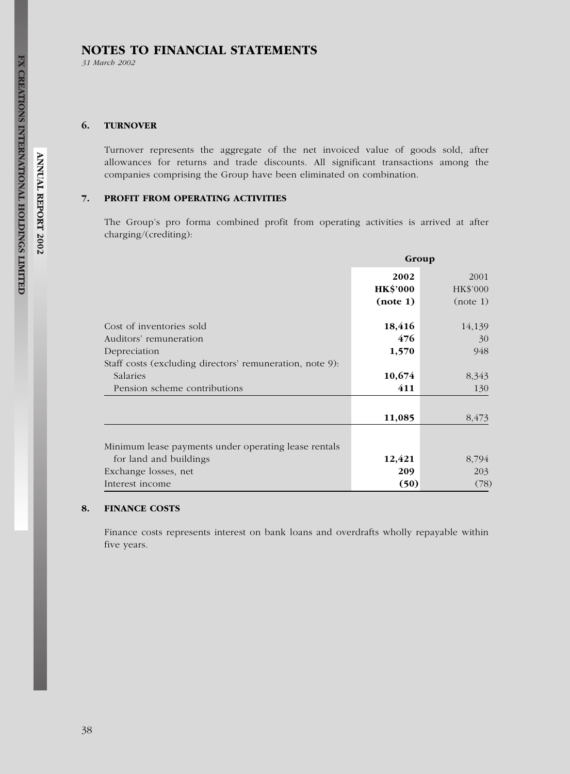31 March 2002

## 6. TURNOVER

Turnover represents the aggregate of the net invoiced value of goods sold, after allowances for returns and trade discounts. All significant transactions among the companies comprising the Group have been eliminated on combination.

## 7. PROFIT FROM OPERATING ACTIVITIES

The Group's pro forma combined profit from operating activities is arrived at after charging/(crediting):

|                                                          | Group           |          |  |
|----------------------------------------------------------|-----------------|----------|--|
|                                                          | 2002            | 2001     |  |
|                                                          | <b>HK\$'000</b> | HK\$'000 |  |
|                                                          | (note 1)        | (note 1) |  |
| Cost of inventories sold                                 | 18,416          | 14,139   |  |
| Auditors' remuneration                                   | 476             | 30       |  |
| Depreciation                                             | 1,570           | 948      |  |
| Staff costs (excluding directors' remuneration, note 9): |                 |          |  |
| Salaries                                                 | 10,674          | 8,343    |  |
| Pension scheme contributions                             | 411             | 130      |  |
|                                                          | 11,085          | 8,473    |  |
|                                                          |                 |          |  |
| Minimum lease payments under operating lease rentals     |                 |          |  |
| for land and buildings                                   | 12,421          | 8,794    |  |
| Exchange losses, net                                     | 209             | 203      |  |
| Interest income                                          | (50)            | (78)     |  |

## 8. FINANCE COSTS

Finance costs represents interest on bank loans and overdrafts wholly repayable within five years.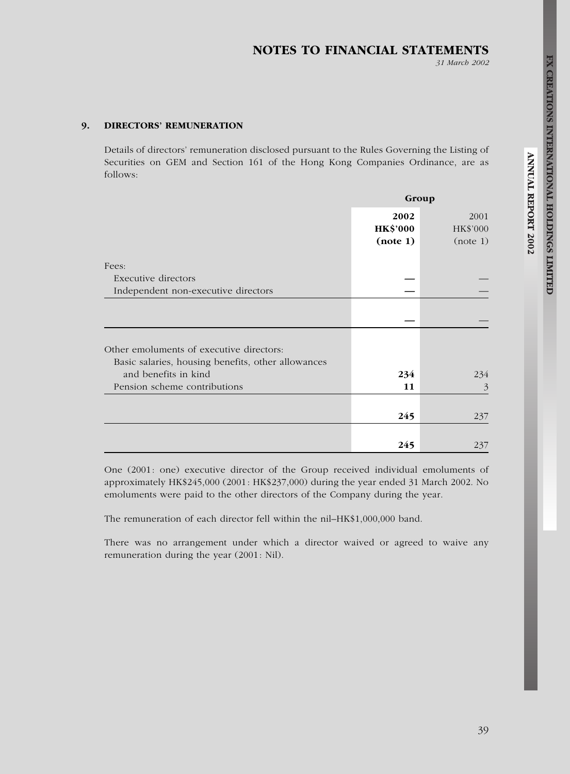# NOTES TO FINANCIAL STATEMENTS

31 March 2002

# 9. DIRECTORS' REMUNERATION

Details of directors' remuneration disclosed pursuant to the Rules Governing the Listing of Securities on GEM and Section 161 of the Hong Kong Companies Ordinance, are as follows:

|                                                                                                | Group                               |                              |  |
|------------------------------------------------------------------------------------------------|-------------------------------------|------------------------------|--|
|                                                                                                | 2002<br><b>HK\$'000</b><br>(note 1) | 2001<br>HK\$'000<br>(note 1) |  |
| Fees:                                                                                          |                                     |                              |  |
| Executive directors                                                                            |                                     |                              |  |
| Independent non-executive directors                                                            |                                     |                              |  |
|                                                                                                |                                     |                              |  |
| Other emoluments of executive directors:<br>Basic salaries, housing benefits, other allowances |                                     |                              |  |
| and benefits in kind                                                                           | 234                                 | 234                          |  |
| Pension scheme contributions                                                                   | 11                                  | 3                            |  |
|                                                                                                | 245                                 | 237                          |  |
|                                                                                                | 245                                 | 237                          |  |

One (2001: one) executive director of the Group received individual emoluments of approximately HK\$245,000 (2001: HK\$237,000) during the year ended 31 March 2002. No emoluments were paid to the other directors of the Company during the year.

The remuneration of each director fell within the nil–HK\$1,000,000 band.

There was no arrangement under which a director waived or agreed to waive any remuneration during the year (2001: Nil).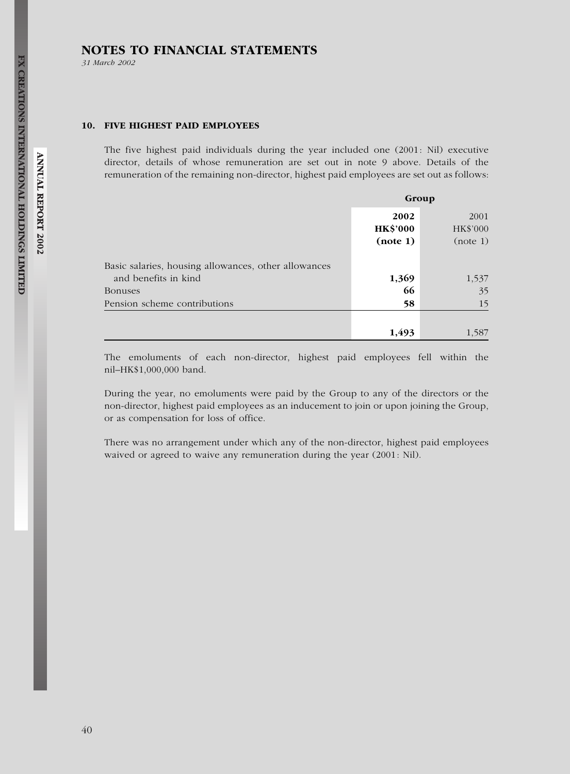31 March 2002

#### 10. FIVE HIGHEST PAID EMPLOYEES

The five highest paid individuals during the year included one (2001: Nil) executive director, details of whose remuneration are set out in note 9 above. Details of the remuneration of the remaining non-director, highest paid employees are set out as follows:

|                                                      | Group                               |                              |  |
|------------------------------------------------------|-------------------------------------|------------------------------|--|
|                                                      | 2002<br><b>HK\$'000</b><br>(note 1) | 2001<br>HK\$'000<br>(note 1) |  |
| Basic salaries, housing allowances, other allowances |                                     |                              |  |
| and benefits in kind                                 | 1,369                               | 1,537                        |  |
| Bonuses                                              | 66                                  | 35                           |  |
| Pension scheme contributions                         | 58                                  | 15                           |  |
|                                                      |                                     |                              |  |
|                                                      | 1,493                               | 1,587                        |  |

The emoluments of each non-director, highest paid employees fell within the nil–HK\$1,000,000 band.

During the year, no emoluments were paid by the Group to any of the directors or the non-director, highest paid employees as an inducement to join or upon joining the Group, or as compensation for loss of office.

There was no arrangement under which any of the non-director, highest paid employees waived or agreed to waive any remuneration during the year (2001: Nil).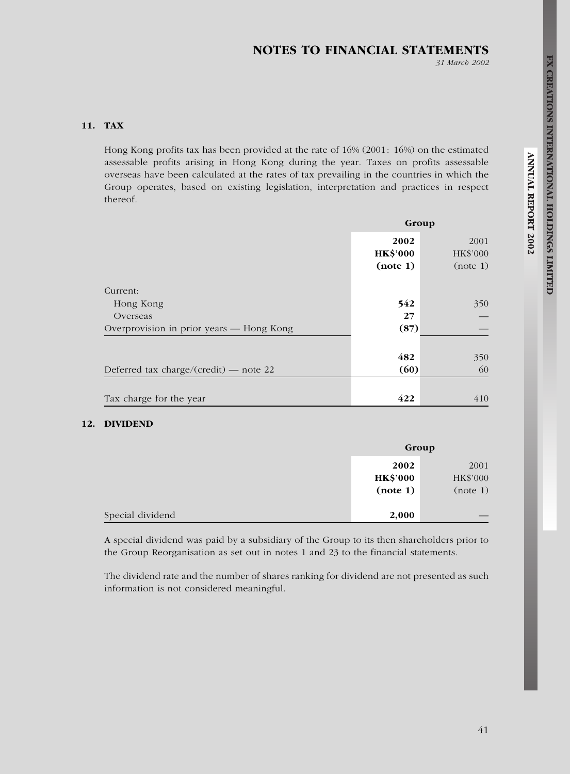31 March 2002

# 11. TAX

Hong Kong profits tax has been provided at the rate of 16% (2001: 16%) on the estimated assessable profits arising in Hong Kong during the year. Taxes on profits assessable overseas have been calculated at the rates of tax prevailing in the countries in which the Group operates, based on existing legislation, interpretation and practices in respect thereof.

|                                          |                                     | Group                        |  |  |
|------------------------------------------|-------------------------------------|------------------------------|--|--|
|                                          | 2002<br><b>HK\$'000</b><br>(note 1) | 2001<br>HK\$'000<br>(note 1) |  |  |
| Current:                                 |                                     |                              |  |  |
| Hong Kong                                | 542                                 | 350                          |  |  |
| Overseas                                 | 27                                  |                              |  |  |
| Overprovision in prior years — Hong Kong | (87)                                |                              |  |  |
|                                          |                                     |                              |  |  |
|                                          | 482                                 | 350                          |  |  |
| Deferred tax charge/(credit) — note 22   | (60)                                | 60                           |  |  |
|                                          |                                     |                              |  |  |
| Tax charge for the year                  | 422                                 | 410                          |  |  |

## 12. DIVIDEND

|                  |                 | Group    |
|------------------|-----------------|----------|
|                  | 2002            | 2001     |
|                  | <b>HK\$'000</b> | HK\$'000 |
|                  | (note 1)        | (note 1) |
|                  |                 |          |
| Special dividend | 2,000           |          |

A special dividend was paid by a subsidiary of the Group to its then shareholders prior to the Group Reorganisation as set out in notes 1 and 23 to the financial statements.

The dividend rate and the number of shares ranking for dividend are not presented as such information is not considered meaningful.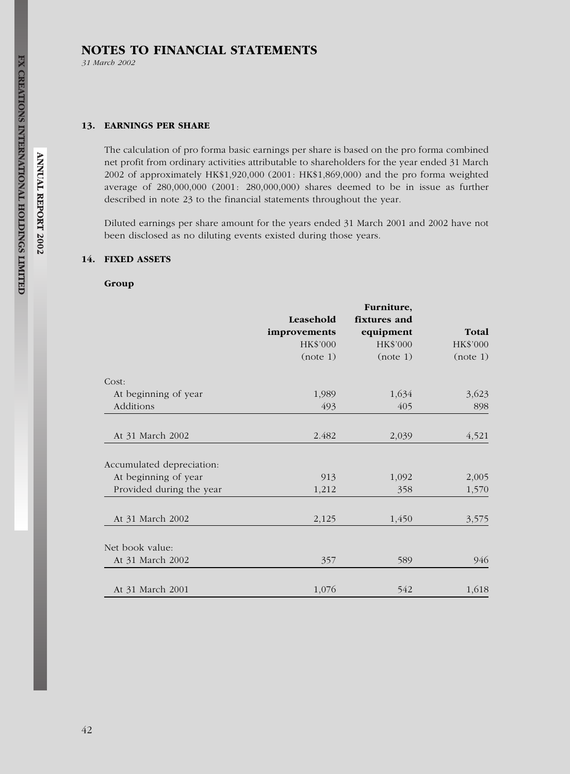31 March 2002

#### 13. EARNINGS PER SHARE

The calculation of pro forma basic earnings per share is based on the pro forma combined net profit from ordinary activities attributable to shareholders for the year ended 31 March 2002 of approximately HK\$1,920,000 (2001: HK\$1,869,000) and the pro forma weighted average of 280,000,000 (2001: 280,000,000) shares deemed to be in issue as further described in note 23 to the financial statements throughout the year.

Diluted earnings per share amount for the years ended 31 March 2001 and 2002 have not been disclosed as no diluting events existed during those years.

## 14. FIXED ASSETS

## Group

|                           | Leasehold    | Furniture,<br>fixtures and |          |
|---------------------------|--------------|----------------------------|----------|
|                           | improvements | equipment                  | Total    |
|                           | HK\$'000     | HK\$'000                   | HK\$'000 |
|                           | (note 1)     | (note 1)                   | (note 1) |
| Cost:                     |              |                            |          |
| At beginning of year      | 1,989        | 1,634                      | 3,623    |
| Additions                 | 493          | 405                        | 898      |
| At 31 March 2002          | 2.482        | 2,039                      | 4,521    |
| Accumulated depreciation: |              |                            |          |
| At beginning of year      | 913          | 1,092                      | 2,005    |
| Provided during the year  | 1,212        | 358                        | 1,570    |
| At 31 March 2002          | 2,125        | 1,450                      | 3,575    |
| Net book value:           |              |                            |          |
| At 31 March 2002          | 357          | 589                        | 946      |
|                           |              |                            |          |
| At 31 March 2001          | 1,076        | 542                        | 1,618    |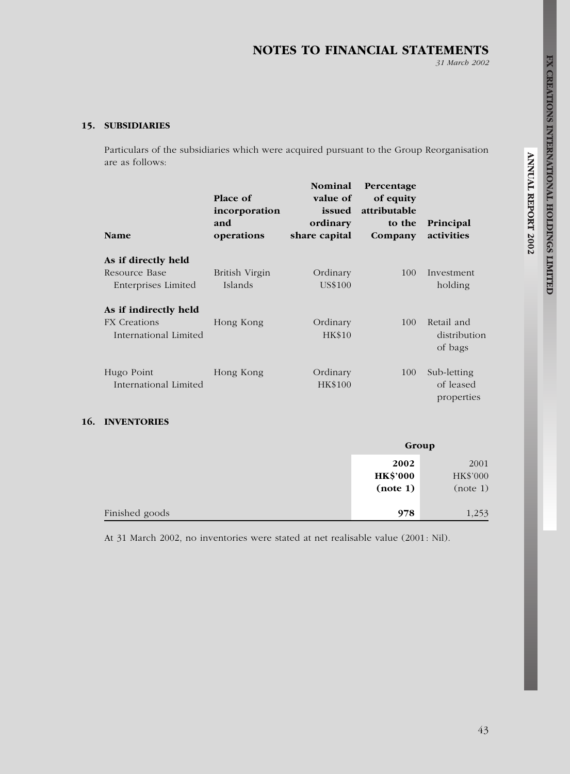31 March 2002

# 15. SUBSIDIARIES

Particulars of the subsidiaries which were acquired pursuant to the Group Reorganisation are as follows:

| <b>Name</b>                                                           | Place of<br>incorporation<br>and<br>operations | <b>Nominal</b><br>value of<br>issued<br>ordinary<br>share capital | Percentage<br>of equity<br>attributable<br>to the<br>Company | Principal<br>activities                |
|-----------------------------------------------------------------------|------------------------------------------------|-------------------------------------------------------------------|--------------------------------------------------------------|----------------------------------------|
| As if directly held<br>Resource Base<br>Enterprises Limited           | British Virgin<br>Islands                      | Ordinary<br>US\$100                                               | 100                                                          | Investment<br>holding                  |
| As if indirectly held<br><b>FX</b> Creations<br>International Limited | Hong Kong                                      | Ordinary<br><b>HK\$10</b>                                         | 100                                                          | Retail and<br>distribution<br>of bags  |
| Hugo Point<br>International Limited                                   | Hong Kong                                      | Ordinary<br>HK\$100                                               | 100                                                          | Sub-letting<br>of leased<br>properties |

## 16. INVENTORIES

|                | Group                               |                              |
|----------------|-------------------------------------|------------------------------|
|                | 2002<br><b>HK\$'000</b><br>(note 1) | 2001<br>HK\$'000<br>(note 1) |
| Finished goods | 978                                 | 1,253                        |

At 31 March 2002, no inventories were stated at net realisable value (2001: Nil).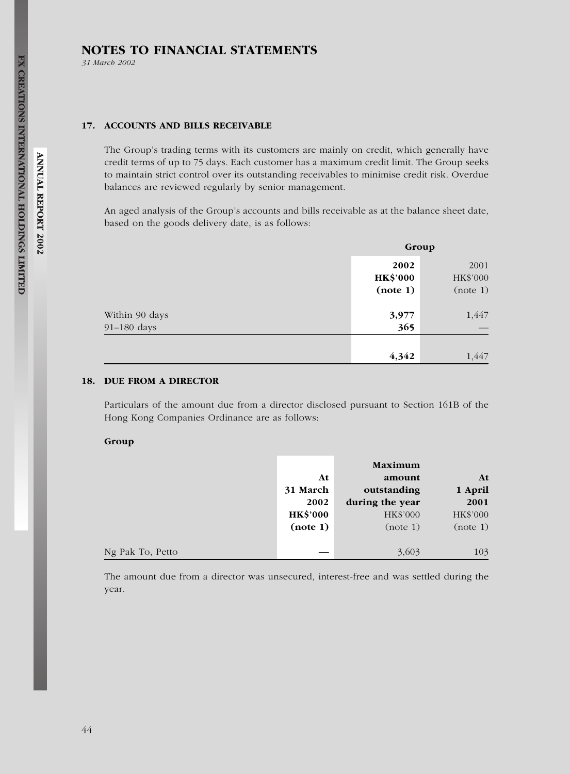31 March 2002

## 17. ACCOUNTS AND BILLS RECEIVABLE

The Group's trading terms with its customers are mainly on credit, which generally have credit terms of up to 75 days. Each customer has a maximum credit limit. The Group seeks to maintain strict control over its outstanding receivables to minimise credit risk. Overdue balances are reviewed regularly by senior management.

An aged analysis of the Group's accounts and bills receivable as at the balance sheet date, based on the goods delivery date, is as follows:

|                | Group                   |                  |
|----------------|-------------------------|------------------|
|                | 2002<br><b>HK\$'000</b> | 2001<br>HK\$'000 |
|                | (note 1)                | (note 1)         |
| Within 90 days | 3,977                   | 1,447            |
| 91-180 days    | 365                     |                  |
|                |                         |                  |
|                | 4,342                   | 1,447            |

# 18. DUE FROM A DIRECTOR

Particulars of the amount due from a director disclosed pursuant to Section 161B of the Hong Kong Companies Ordinance are as follows:

#### Group

|                  |                 | Maximum         |          |
|------------------|-----------------|-----------------|----------|
|                  | At              | amount          | At       |
|                  | 31 March        | outstanding     | 1 April  |
|                  | 2002            | during the year | 2001     |
|                  | <b>HK\$'000</b> | HK\$'000        | HK\$'000 |
|                  | (note 1)        | (note 1)        | (note 1) |
|                  |                 |                 |          |
| Ng Pak To, Petto |                 | 3,603           | 103      |

The amount due from a director was unsecured, interest-free and was settled during the year.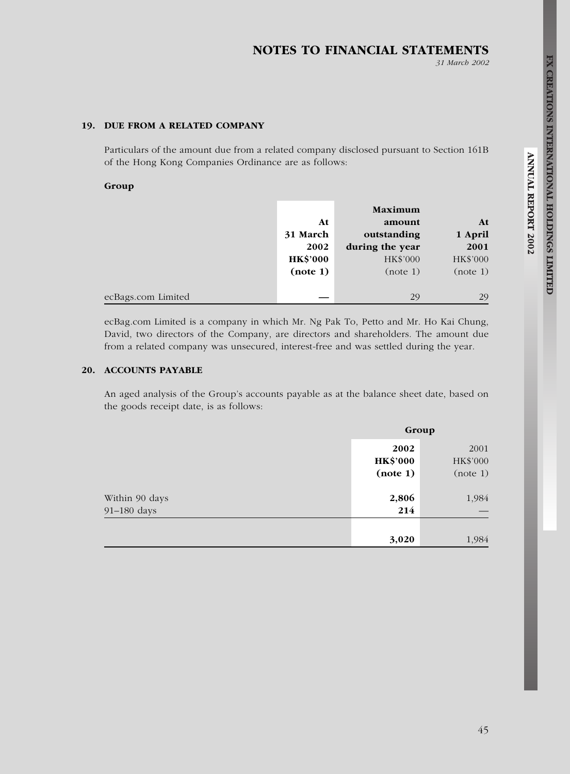# NOTES TO FINANCIAL STATEMENTS

31 March 2002

# 19. DUE FROM A RELATED COMPANY

Particulars of the amount due from a related company disclosed pursuant to Section 161B of the Hong Kong Companies Ordinance are as follows:

#### Group

|                    |                 | Maximum         |          |
|--------------------|-----------------|-----------------|----------|
|                    | At              | amount          | At       |
|                    | 31 March        | outstanding     | 1 April  |
|                    | 2002            | during the year | 2001     |
|                    | <b>HK\$'000</b> | HK\$'000        | HK\$'000 |
|                    | (note 1)        | (note 1)        | (note 1) |
|                    |                 |                 |          |
| ecBags.com Limited |                 | 29              | 29       |

ecBag.com Limited is a company in which Mr. Ng Pak To, Petto and Mr. Ho Kai Chung, David, two directors of the Company, are directors and shareholders. The amount due from a related company was unsecured, interest-free and was settled during the year.

# 20. ACCOUNTS PAYABLE

An aged analysis of the Group's accounts payable as at the balance sheet date, based on the goods receipt date, is as follows:

|                | Group                               |                              |
|----------------|-------------------------------------|------------------------------|
|                | 2002<br><b>HK\$'000</b><br>(note 1) | 2001<br>HK\$'000<br>(note 1) |
| Within 90 days | 2,806                               | 1,984                        |
| 91-180 days    | 214                                 |                              |
|                |                                     |                              |
|                | 3,020                               | 1,984                        |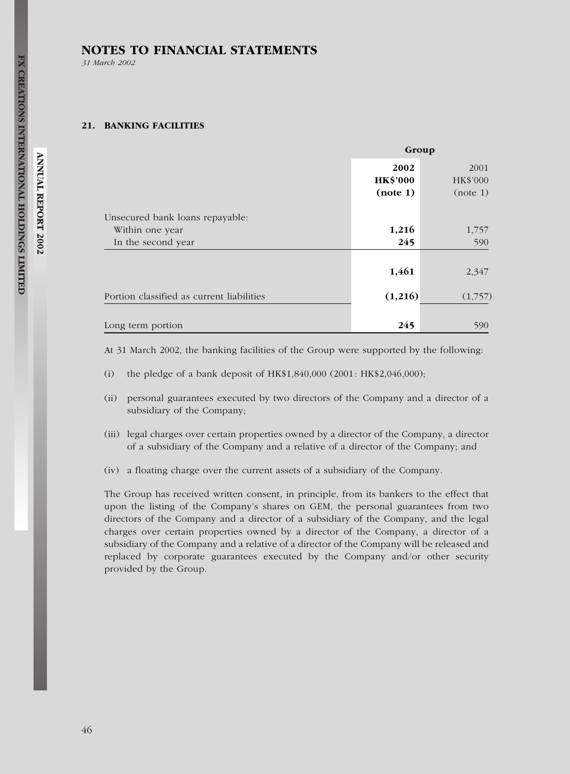31 March 2002

#### 21. BANKING FACILITIES

|                                           | Group                               |                              |
|-------------------------------------------|-------------------------------------|------------------------------|
|                                           | 2002<br><b>HK\$'000</b><br>(note 1) | 2001<br>HK\$'000<br>(note 1) |
| Unsecured bank loans repayable:           |                                     |                              |
| Within one year                           | 1,216                               | 1,757                        |
| In the second year                        | 245                                 | 590                          |
|                                           | 1,461                               | 2,347                        |
| Portion classified as current liabilities | (1,216)                             | (1,757)                      |
|                                           |                                     |                              |
| Long term portion                         | 245                                 | 590                          |

At 31 March 2002, the banking facilities of the Group were supported by the following:

- (i) the pledge of a bank deposit of  $HK$1,840,000 (2001: HK$2,046,000);$
- (ii) personal guarantees executed by two directors of the Company and a director of a subsidiary of the Company;
- (iii) legal charges over certain properties owned by a director of the Company, a director of a subsidiary of the Company and a relative of a director of the Company; and
- (iv) a floating charge over the current assets of a subsidiary of the Company.

The Group has received written consent, in principle, from its bankers to the effect that upon the listing of the Company's shares on GEM, the personal guarantees from two directors of the Company and a director of a subsidiary of the Company, and the legal charges over certain properties owned by a director of the Company, a director of a subsidiary of the Company and a relative of a director of the Company will be released and replaced by corporate guarantees executed by the Company and/or other security provided by the Group.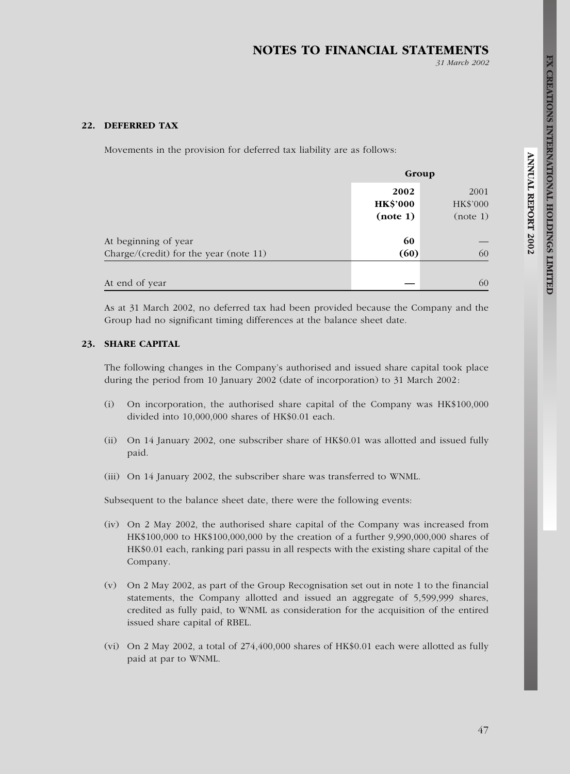# NOTES TO FINANCIAL STATEMENTS

31 March 2002

#### 22. DEFERRED TAX

Movements in the provision for deferred tax liability are as follows:

|                                                                |                                     | Group                        |  |
|----------------------------------------------------------------|-------------------------------------|------------------------------|--|
|                                                                | 2002<br><b>HK\$'000</b><br>(note 1) | 2001<br>HK\$'000<br>(note 1) |  |
| At beginning of year<br>Charge/(credit) for the year (note 11) | 60<br>(60)                          | 60                           |  |
| At end of year                                                 |                                     | 60                           |  |

As at 31 March 2002, no deferred tax had been provided because the Company and the Group had no significant timing differences at the balance sheet date.

#### 23. SHARE CAPITAL

The following changes in the Company's authorised and issued share capital took place during the period from 10 January 2002 (date of incorporation) to 31 March 2002:

- (i) On incorporation, the authorised share capital of the Company was HK\$100,000 divided into 10,000,000 shares of HK\$0.01 each.
- (ii) On 14 January 2002, one subscriber share of HK\$0.01 was allotted and issued fully paid.
- (iii) On 14 January 2002, the subscriber share was transferred to WNML.

Subsequent to the balance sheet date, there were the following events:

- (iv) On 2 May 2002, the authorised share capital of the Company was increased from HK\$100,000 to HK\$100,000,000 by the creation of a further 9,990,000,000 shares of HK\$0.01 each, ranking pari passu in all respects with the existing share capital of the Company.
- (v) On 2 May 2002, as part of the Group Recognisation set out in note 1 to the financial statements, the Company allotted and issued an aggregate of 5,599,999 shares, credited as fully paid, to WNML as consideration for the acquisition of the entired issued share capital of RBEL.
- (vi) On 2 May 2002, a total of 274,400,000 shares of HK\$0.01 each were allotted as fully paid at par to WNML.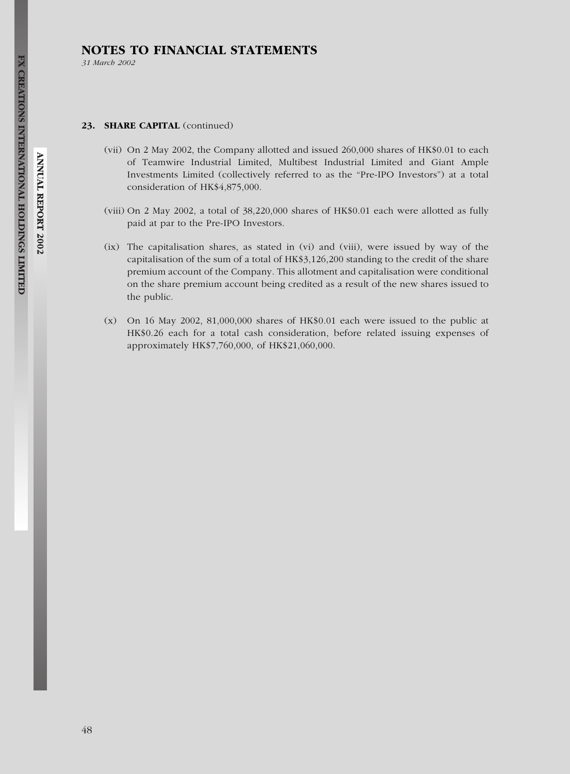31 March 2002

#### 23. SHARE CAPITAL (continued)

- (vii) On 2 May 2002, the Company allotted and issued 260,000 shares of HK\$0.01 to each of Teamwire Industrial Limited, Multibest Industrial Limited and Giant Ample Investments Limited (collectively referred to as the ''Pre-IPO Investors'') at a total consideration of HK\$4,875,000.
- (viii) On 2 May 2002, a total of 38,220,000 shares of HK\$0.01 each were allotted as fully paid at par to the Pre-IPO Investors.
- (ix) The capitalisation shares, as stated in (vi) and (viii), were issued by way of the capitalisation of the sum of a total of HK\$3,126,200 standing to the credit of the share premium account of the Company. This allotment and capitalisation were conditional on the share premium account being credited as a result of the new shares issued to the public.
- $(x)$  On 16 May 2002, 81,000,000 shares of HK\$0.01 each were issued to the public at HK\$0.26 each for a total cash consideration, before related issuing expenses of approximately HK\$7,760,000, of HK\$21,060,000.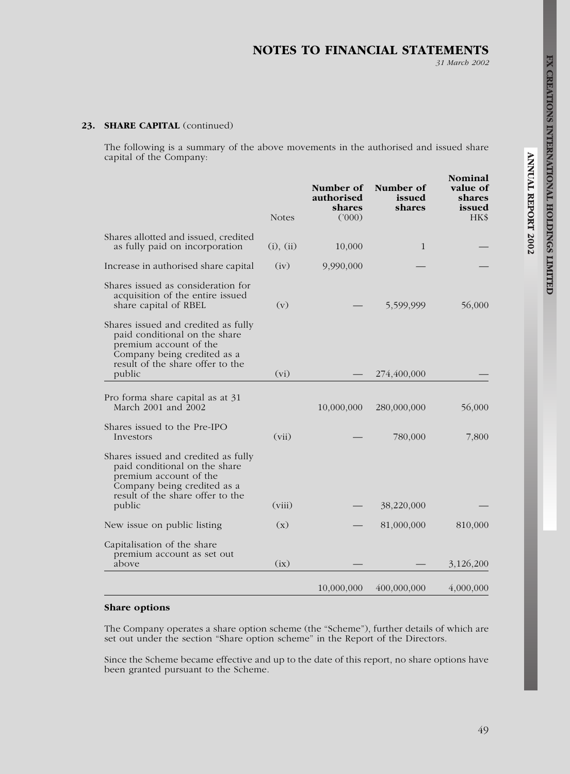31 March 2002

## 23. SHARE CAPITAL (continued)

The following is a summary of the above movements in the authorised and issued share capital of the Company:

|                                                                                                                                                                             | <b>Notes</b> | Number of<br>authorised<br>shares<br>(000) | Number of<br>issued<br>shares | Nominal<br>value of<br>shares<br>issued<br>HK\$ |
|-----------------------------------------------------------------------------------------------------------------------------------------------------------------------------|--------------|--------------------------------------------|-------------------------------|-------------------------------------------------|
| Shares allotted and issued, credited<br>as fully paid on incorporation                                                                                                      | (i), (ii)    | 10,000                                     | 1                             |                                                 |
| Increase in authorised share capital                                                                                                                                        | (iv)         | 9,990,000                                  |                               |                                                 |
| Shares issued as consideration for<br>acquisition of the entire issued<br>share capital of RBEL                                                                             | (v)          |                                            | 5,599,999                     | 56,000                                          |
| Shares issued and credited as fully<br>paid conditional on the share<br>premium account of the<br>Company being credited as a<br>result of the share offer to the<br>public | (vi)         |                                            | 274,400,000                   |                                                 |
|                                                                                                                                                                             |              |                                            |                               |                                                 |
| Pro forma share capital as at 31<br>March 2001 and 2002                                                                                                                     |              | 10,000,000                                 | 280,000,000                   | 56,000                                          |
| Shares issued to the Pre-IPO<br>Investors                                                                                                                                   | (vii)        |                                            | 780,000                       | 7,800                                           |
| Shares issued and credited as fully<br>paid conditional on the share<br>premium account of the<br>Company being credited as a<br>result of the share offer to the<br>public | (viii)       |                                            | 38,220,000                    |                                                 |
| New issue on public listing                                                                                                                                                 | (x)          |                                            | 81,000,000                    | 810,000                                         |
| Capitalisation of the share<br>premium account as set out<br>above                                                                                                          | (ix)         |                                            |                               | 3,126,200                                       |
|                                                                                                                                                                             |              | 10,000,000                                 | 400,000,000                   | 4,000,000                                       |

#### Share options

The Company operates a share option scheme (the "Scheme"), further details of which are set out under the section "Share option scheme" in the Report of the Directors.

Since the Scheme became effective and up to the date of this report, no share options have been granted pursuant to the Scheme.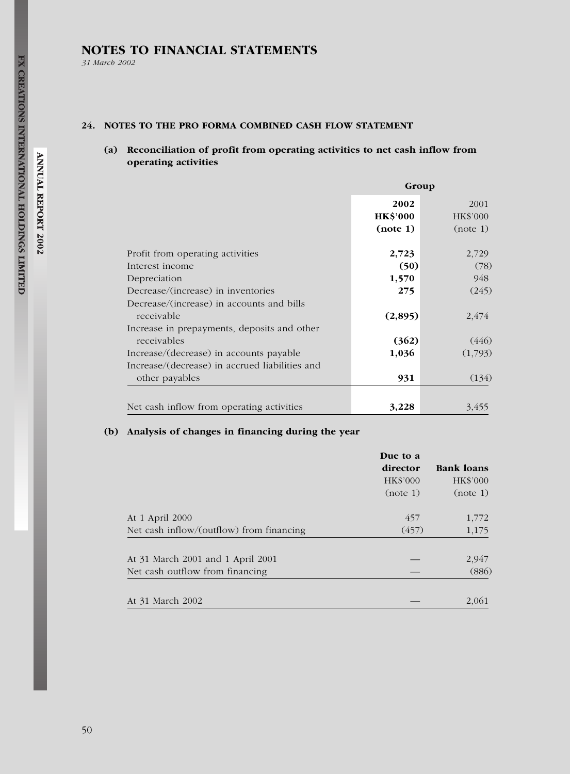31 March 2002

# 24. NOTES TO THE PRO FORMA COMBINED CASH FLOW STATEMENT

# (a) Reconciliation of profit from operating activities to net cash inflow from operating activities

|                                                | Group           |          |
|------------------------------------------------|-----------------|----------|
|                                                | 2002            | 2001     |
|                                                | <b>HK\$'000</b> | HK\$'000 |
|                                                | (note 1)        | (note 1) |
| Profit from operating activities               | 2,723           | 2,729    |
| Interest income                                | (50)            | (78)     |
| Depreciation                                   | 1,570           | 948      |
| Decrease/(increase) in inventories             | 275             | (245)    |
| Decrease/(increase) in accounts and bills      |                 |          |
| receivable                                     | (2,895)         | 2,474    |
| Increase in prepayments, deposits and other    |                 |          |
| receivables                                    | (362)           | (446)    |
| Increase/(decrease) in accounts payable        | 1,036           | (1,793)  |
| Increase/(decrease) in accrued liabilities and |                 |          |
| other payables                                 | 931             | (134)    |
|                                                |                 |          |
| Net cash inflow from operating activities      | 3,228           | 3,455    |

## (b) Analysis of changes in financing during the year

|                                          | Due to a<br>director<br>HK\$'000<br>(note 1) | <b>Bank loans</b><br>HK\$'000<br>(note 1) |
|------------------------------------------|----------------------------------------------|-------------------------------------------|
| At 1 April 2000                          | 457                                          | 1,772                                     |
| Net cash inflow/(outflow) from financing | (457)                                        | 1,175                                     |
| At 31 March 2001 and 1 April 2001        |                                              | 2,947                                     |
| Net cash outflow from financing          |                                              | (886)                                     |
| At 31 March 2002                         |                                              | 2,061                                     |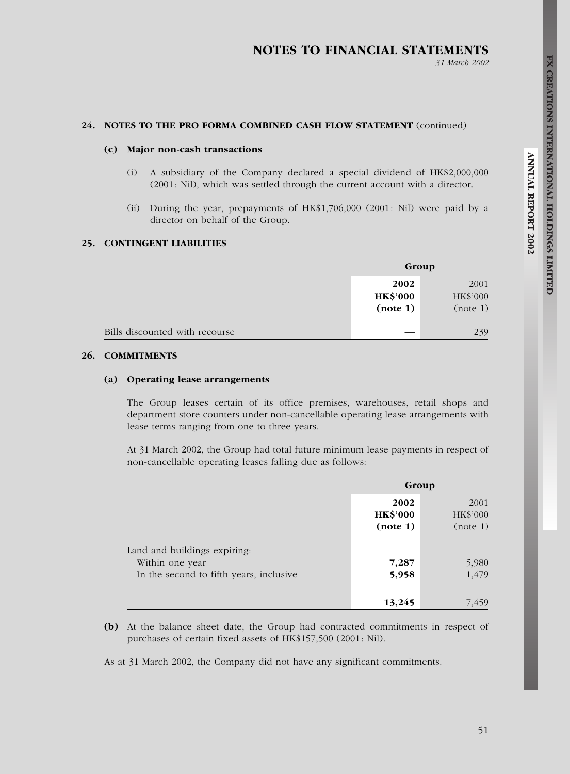# NOTES TO FINANCIAL STATEMENTS

31 March 2002

#### 24. NOTES TO THE PRO FORMA COMBINED CASH FLOW STATEMENT (continued)

#### (c) Major non-cash transactions

- (i) A subsidiary of the Company declared a special dividend of HK\$2,000,000 (2001: Nil), which was settled through the current account with a director.
- (ii) During the year, prepayments of HK\$1,706,000 (2001: Nil) were paid by a director on behalf of the Group.

## 25. CONTINGENT LIABILITIES

|                                | Group                               |                              |
|--------------------------------|-------------------------------------|------------------------------|
|                                | 2002<br><b>HK\$'000</b><br>(note 1) | 2001<br>HK\$'000<br>(note 1) |
| Bills discounted with recourse |                                     | 239                          |

## 26. COMMITMENTS

#### (a) Operating lease arrangements

The Group leases certain of its office premises, warehouses, retail shops and department store counters under non-cancellable operating lease arrangements with lease terms ranging from one to three years.

At 31 March 2002, the Group had total future minimum lease payments in respect of non-cancellable operating leases falling due as follows:

|                                         | Group                               |                              |
|-----------------------------------------|-------------------------------------|------------------------------|
|                                         | 2002<br><b>HK\$'000</b><br>(note 1) | 2001<br>HK\$'000<br>(note 1) |
| Land and buildings expiring:            |                                     |                              |
| Within one year                         | 7,287                               | 5,980                        |
| In the second to fifth years, inclusive | 5,958                               | 1,479                        |
|                                         |                                     |                              |
|                                         | 13,245                              | 7.459                        |

(b) At the balance sheet date, the Group had contracted commitments in respect of purchases of certain fixed assets of HK\$157,500 (2001: Nil).

As at 31 March 2002, the Company did not have any significant commitments.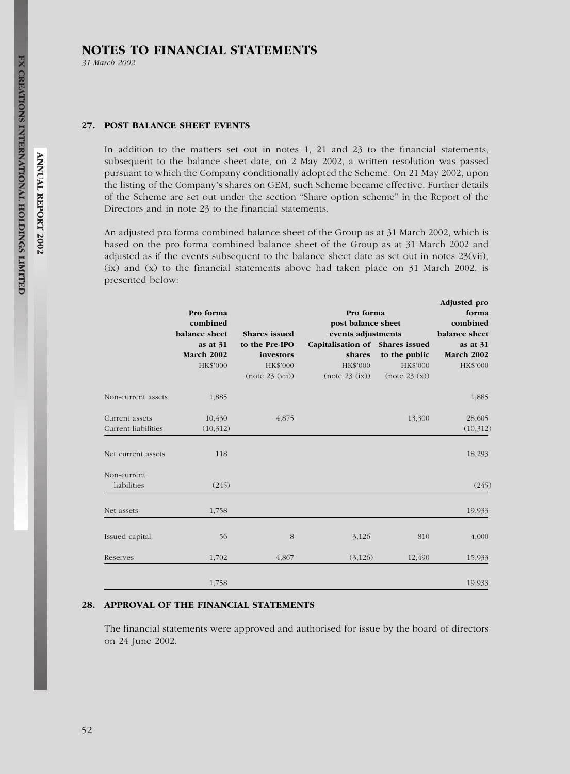31 March 2002

#### 27. POST BALANCE SHEET EVENTS

In addition to the matters set out in notes 1, 21 and 23 to the financial statements, subsequent to the balance sheet date, on 2 May 2002, a written resolution was passed pursuant to which the Company conditionally adopted the Scheme. On 21 May 2002, upon the listing of the Company's shares on GEM, such Scheme became effective. Further details of the Scheme are set out under the section ''Share option scheme'' in the Report of the Directors and in note 23 to the financial statements.

An adjusted pro forma combined balance sheet of the Group as at 31 March 2002, which is based on the pro forma combined balance sheet of the Group as at 31 March 2002 and adjusted as if the events subsequent to the balance sheet date as set out in notes 23(vii), (ix) and (x) to the financial statements above had taken place on 31 March 2002, is presented below:

|                     |                                        |                      |                                                       |               | Adjusted pro                       |
|---------------------|----------------------------------------|----------------------|-------------------------------------------------------|---------------|------------------------------------|
|                     | Pro forma<br>combined<br>balance sheet |                      | Pro forma<br>post balance sheet<br>events adjustments |               | forma<br>combined<br>balance sheet |
|                     |                                        | <b>Shares</b> issued |                                                       |               |                                    |
|                     |                                        |                      |                                                       |               |                                    |
|                     | as at $31$                             | to the Pre-IPO       | Capitalisation of Shares issued                       |               | as at 31                           |
|                     | March 2002                             | investors            | shares                                                | to the public | March 2002                         |
|                     | HK\$'000                               | HK\$'000             | HK\$'000                                              | HK\$'000      | HK\$'000                           |
|                     |                                        | (note 23 (vii))      | (note 23 (ix))                                        | (note 23(x))  |                                    |
| Non-current assets  | 1,885                                  |                      |                                                       |               | 1,885                              |
| Current assets      | 10,430                                 | 4,875                |                                                       | 13,300        | 28,605                             |
| Current liabilities | (10,312)                               |                      |                                                       |               | (10,312)                           |
| Net current assets  | 118                                    |                      |                                                       |               | 18,293                             |
| Non-current         |                                        |                      |                                                       |               |                                    |
| liabilities         | (245)                                  |                      |                                                       |               | (245)                              |
| Net assets          | 1,758                                  |                      |                                                       |               | 19,933                             |
| Issued capital      | 56                                     | 8                    | 3,126                                                 | 810           | 4,000                              |
| Reserves            | 1,702                                  | 4,867                | (3, 126)                                              | 12,490        | 15,933                             |
|                     | 1,758                                  |                      |                                                       |               | 19,933                             |

## 28. APPROVAL OF THE FINANCIAL STATEMENTS

The financial statements were approved and authorised for issue by the board of directors on 24 June 2002.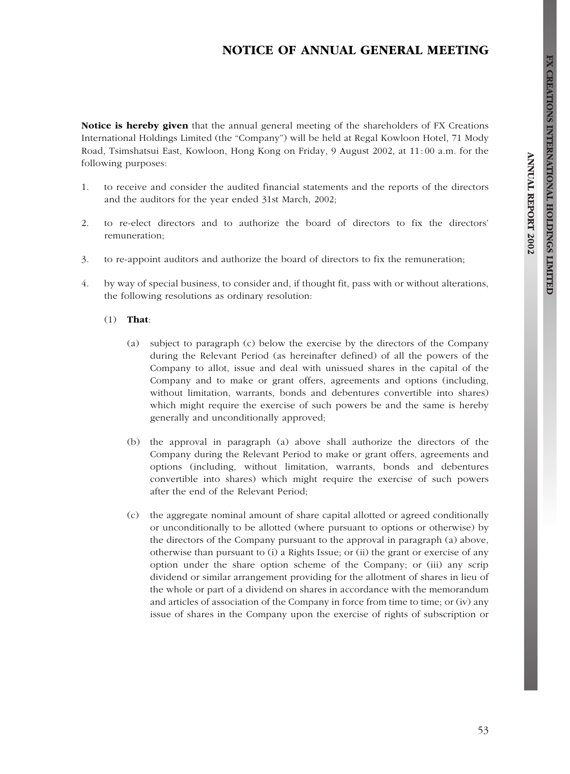# NOTICE OF ANNUAL GENERAL MEETING

Notice is hereby given that the annual general meeting of the shareholders of FX Creations International Holdings Limited (the ''Company'') will be held at Regal Kowloon Hotel, 71 Mody Road, Tsimshatsui East, Kowloon, Hong Kong on Friday, 9 August 2002, at 11: 00 a.m. for the following purposes:

- 1. to receive and consider the audited financial statements and the reports of the directors and the auditors for the year ended 31st March, 2002;
- 2. to re-elect directors and to authorize the board of directors to fix the directors' remuneration;
- 3. to re-appoint auditors and authorize the board of directors to fix the remuneration;
- 4. by way of special business, to consider and, if thought fit, pass with or without alterations, the following resolutions as ordinary resolution:

#### (1) That:

- (a) subject to paragraph (c) below the exercise by the directors of the Company during the Relevant Period (as hereinafter defined) of all the powers of the Company to allot, issue and deal with unissued shares in the capital of the Company and to make or grant offers, agreements and options (including, without limitation, warrants, bonds and debentures convertible into shares) which might require the exercise of such powers be and the same is hereby generally and unconditionally approved;
- (b) the approval in paragraph (a) above shall authorize the directors of the Company during the Relevant Period to make or grant offers, agreements and options (including, without limitation, warrants, bonds and debentures convertible into shares) which might require the exercise of such powers after the end of the Relevant Period;
- (c) the aggregate nominal amount of share capital allotted or agreed conditionally or unconditionally to be allotted (where pursuant to options or otherwise) by the directors of the Company pursuant to the approval in paragraph (a) above, otherwise than pursuant to (i) a Rights Issue; or (ii) the grant or exercise of any option under the share option scheme of the Company; or (iii) any scrip dividend or similar arrangement providing for the allotment of shares in lieu of the whole or part of a dividend on shares in accordance with the memorandum and articles of association of the Company in force from time to time; or (iv) any issue of shares in the Company upon the exercise of rights of subscription or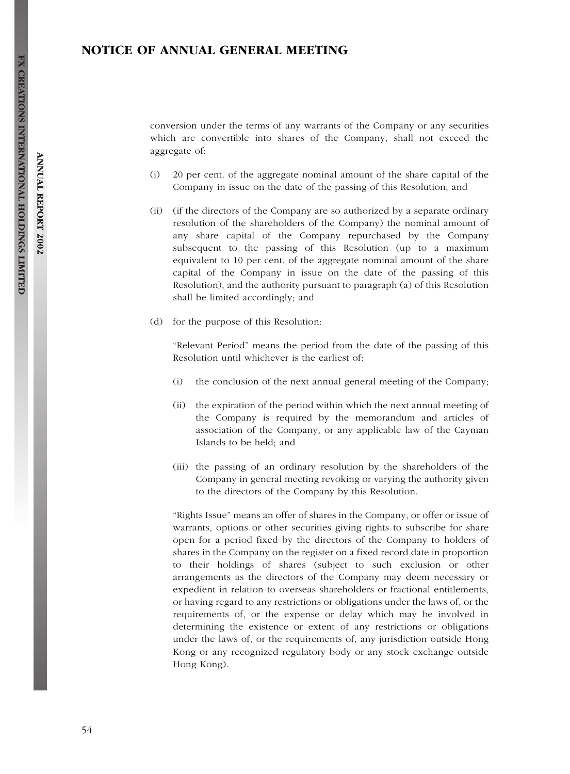# NOTICE OF ANNUAL GENERAL MEETING

conversion under the terms of any warrants of the Company or any securities which are convertible into shares of the Company, shall not exceed the aggregate of:

- (i) 20 per cent. of the aggregate nominal amount of the share capital of the Company in issue on the date of the passing of this Resolution; and
- (ii) (if the directors of the Company are so authorized by a separate ordinary resolution of the shareholders of the Company) the nominal amount of any share capital of the Company repurchased by the Company subsequent to the passing of this Resolution (up to a maximum equivalent to 10 per cent. of the aggregate nominal amount of the share capital of the Company in issue on the date of the passing of this Resolution), and the authority pursuant to paragraph (a) of this Resolution shall be limited accordingly; and
- (d) for the purpose of this Resolution:

''Relevant Period'' means the period from the date of the passing of this Resolution until whichever is the earliest of:

- (i) the conclusion of the next annual general meeting of the Company;
- (ii) the expiration of the period within which the next annual meeting of the Company is required by the memorandum and articles of association of the Company, or any applicable law of the Cayman Islands to be held; and
- (iii) the passing of an ordinary resolution by the shareholders of the Company in general meeting revoking or varying the authority given to the directors of the Company by this Resolution.

''Rights Issue'' means an offer of shares in the Company, or offer or issue of warrants, options or other securities giving rights to subscribe for share open for a period fixed by the directors of the Company to holders of shares in the Company on the register on a fixed record date in proportion to their holdings of shares (subject to such exclusion or other arrangements as the directors of the Company may deem necessary or expedient in relation to overseas shareholders or fractional entitlements, or having regard to any restrictions or obligations under the laws of, or the requirements of, or the expense or delay which may be involved in determining the existence or extent of any restrictions or obligations under the laws of, or the requirements of, any jurisdiction outside Hong Kong or any recognized regulatory body or any stock exchange outside Hong Kong).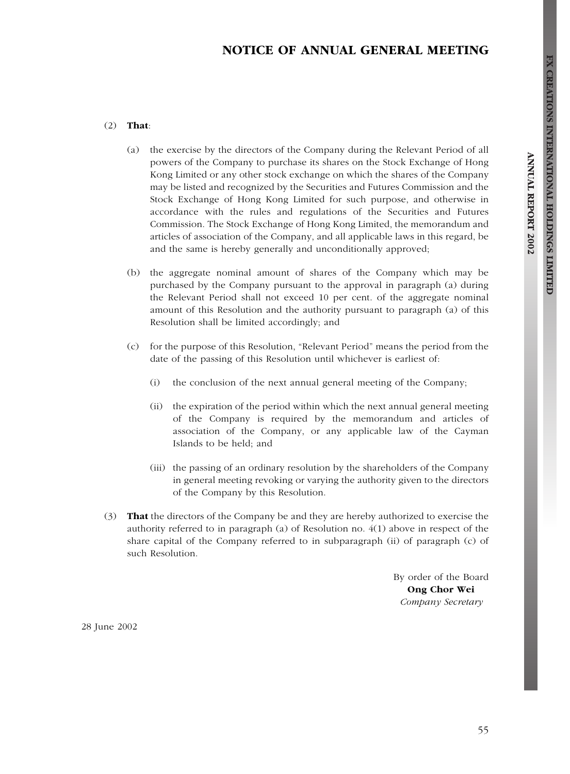# NOTICE OF ANNUAL GENERAL MEETING

#### (2) That:

- (a) the exercise by the directors of the Company during the Relevant Period of all powers of the Company to purchase its shares on the Stock Exchange of Hong Kong Limited or any other stock exchange on which the shares of the Company may be listed and recognized by the Securities and Futures Commission and the Stock Exchange of Hong Kong Limited for such purpose, and otherwise in accordance with the rules and regulations of the Securities and Futures Commission. The Stock Exchange of Hong Kong Limited, the memorandum and articles of association of the Company, and all applicable laws in this regard, be and the same is hereby generally and unconditionally approved;
- (b) the aggregate nominal amount of shares of the Company which may be purchased by the Company pursuant to the approval in paragraph (a) during the Relevant Period shall not exceed 10 per cent. of the aggregate nominal amount of this Resolution and the authority pursuant to paragraph (a) of this Resolution shall be limited accordingly; and
- (c) for the purpose of this Resolution, ''Relevant Period'' means the period from the date of the passing of this Resolution until whichever is earliest of:
	- (i) the conclusion of the next annual general meeting of the Company;
	- (ii) the expiration of the period within which the next annual general meeting of the Company is required by the memorandum and articles of association of the Company, or any applicable law of the Cayman Islands to be held; and
	- (iii) the passing of an ordinary resolution by the shareholders of the Company in general meeting revoking or varying the authority given to the directors of the Company by this Resolution.
- (3) That the directors of the Company be and they are hereby authorized to exercise the authority referred to in paragraph (a) of Resolution no. 4(1) above in respect of the share capital of the Company referred to in subparagraph (ii) of paragraph (c) of such Resolution.

By order of the Board Ong Chor Wei Company Secretary

28 June 2002